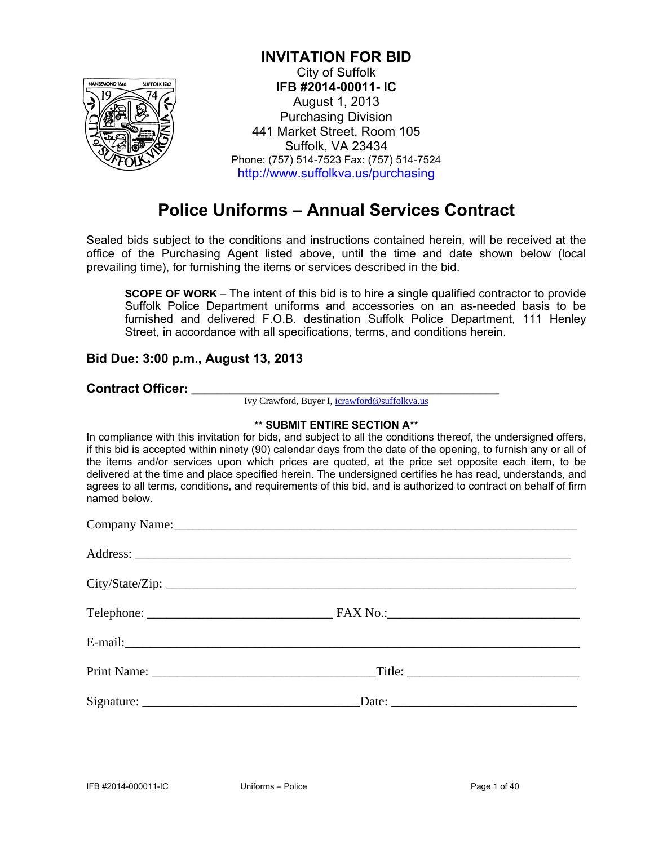

### **INVITATION FOR BID**

City of Suffolk **IFB #2014-00011- IC**  August 1, 2013 Purchasing Division 441 Market Street, Room 105 Suffolk, VA 23434 Phone: (757) 514-7523 Fax: (757) 514-7524 http://www.suffolkva.us/purchasing

### **Police Uniforms – Annual Services Contract**

Sealed bids subject to the conditions and instructions contained herein, will be received at the office of the Purchasing Agent listed above, until the time and date shown below (local prevailing time), for furnishing the items or services described in the bid.

**SCOPE OF WORK** – The intent of this bid is to hire a single qualified contractor to provide Suffolk Police Department uniforms and accessories on an as-needed basis to be furnished and delivered F.O.B. destination Suffolk Police Department, 111 Henley Street, in accordance with all specifications, terms, and conditions herein.

### **Bid Due: 3:00 p.m., August 13, 2013**

### **Contract Officer: \_\_\_\_\_\_\_\_\_\_\_\_\_\_\_\_\_\_\_\_\_\_\_\_\_\_\_\_\_\_\_\_\_\_\_\_\_\_\_\_\_\_\_\_\_\_\_\_**

Ivy Crawford, Buyer I, icrawford@suffolkva.us

### **\*\* SUBMIT ENTIRE SECTION A\*\***

In compliance with this invitation for bids, and subject to all the conditions thereof, the undersigned offers, if this bid is accepted within ninety (90) calendar days from the date of the opening, to furnish any or all of the items and/or services upon which prices are quoted, at the price set opposite each item, to be delivered at the time and place specified herein. The undersigned certifies he has read, understands, and agrees to all terms, conditions, and requirements of this bid, and is authorized to contract on behalf of firm named below.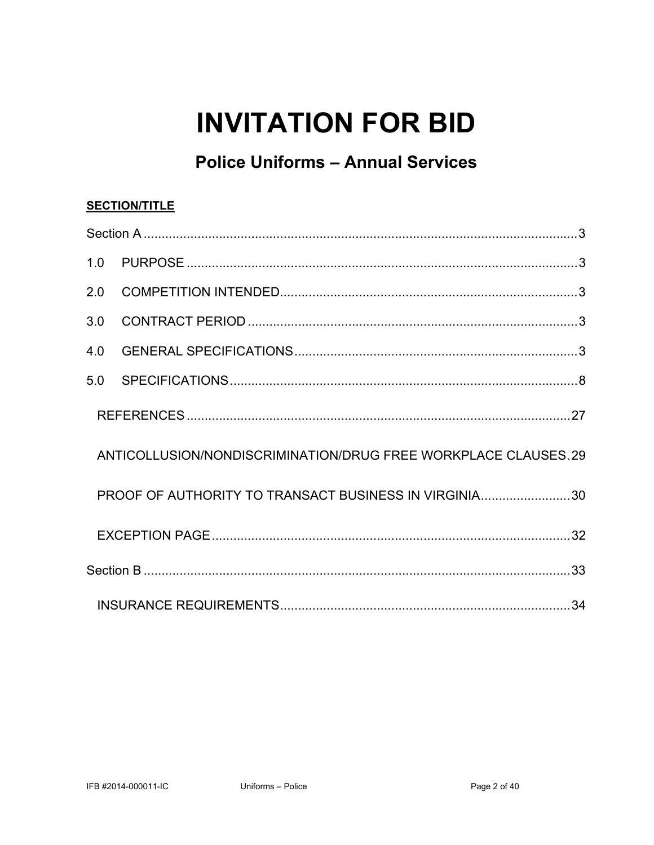# **INVITATION FOR BID**

## **Police Uniforms - Annual Services**

### **SECTION/TITLE**

| 3.0 |                                                                |  |
|-----|----------------------------------------------------------------|--|
| 4.0 |                                                                |  |
| 5.0 |                                                                |  |
|     |                                                                |  |
|     | ANTICOLLUSION/NONDISCRIMINATION/DRUG FREE WORKPLACE CLAUSES.29 |  |
|     | PROOF OF AUTHORITY TO TRANSACT BUSINESS IN VIRGINIA30          |  |
|     |                                                                |  |
|     |                                                                |  |
|     |                                                                |  |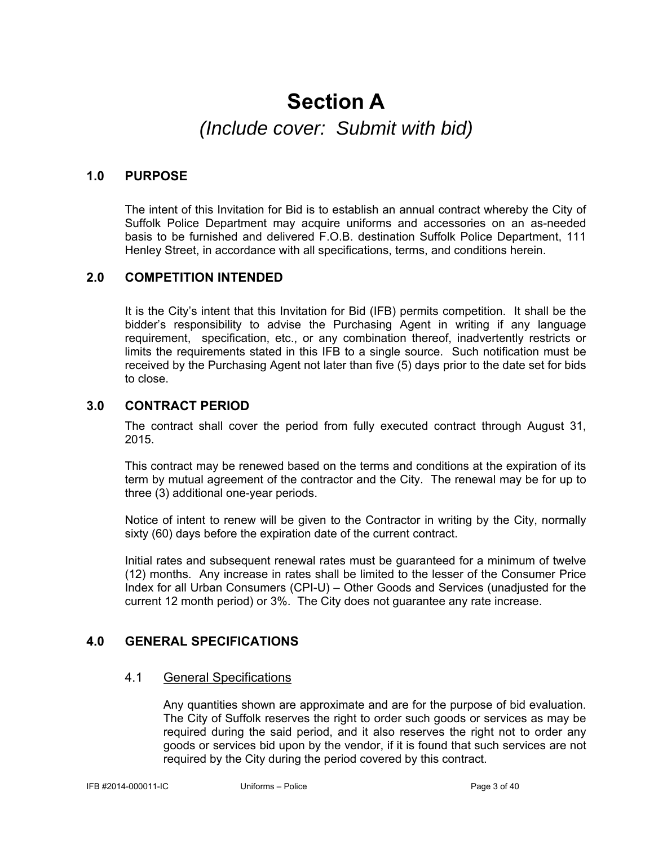## **Section A**  *(Include cover: Submit with bid)*

### **1.0 PURPOSE**

The intent of this Invitation for Bid is to establish an annual contract whereby the City of Suffolk Police Department may acquire uniforms and accessories on an as-needed basis to be furnished and delivered F.O.B. destination Suffolk Police Department, 111 Henley Street, in accordance with all specifications, terms, and conditions herein.

### **2.0 COMPETITION INTENDED**

It is the City's intent that this Invitation for Bid (IFB) permits competition. It shall be the bidder's responsibility to advise the Purchasing Agent in writing if any language requirement, specification, etc., or any combination thereof, inadvertently restricts or limits the requirements stated in this IFB to a single source. Such notification must be received by the Purchasing Agent not later than five (5) days prior to the date set for bids to close.

### **3.0 CONTRACT PERIOD**

The contract shall cover the period from fully executed contract through August 31, 2015.

This contract may be renewed based on the terms and conditions at the expiration of its term by mutual agreement of the contractor and the City. The renewal may be for up to three (3) additional one-year periods.

Notice of intent to renew will be given to the Contractor in writing by the City, normally sixty (60) days before the expiration date of the current contract.

Initial rates and subsequent renewal rates must be guaranteed for a minimum of twelve (12) months. Any increase in rates shall be limited to the lesser of the Consumer Price Index for all Urban Consumers (CPI-U) – Other Goods and Services (unadjusted for the current 12 month period) or 3%. The City does not guarantee any rate increase.

### **4.0 GENERAL SPECIFICATIONS**

### 4.1 General Specifications

 Any quantities shown are approximate and are for the purpose of bid evaluation. The City of Suffolk reserves the right to order such goods or services as may be required during the said period, and it also reserves the right not to order any goods or services bid upon by the vendor, if it is found that such services are not required by the City during the period covered by this contract.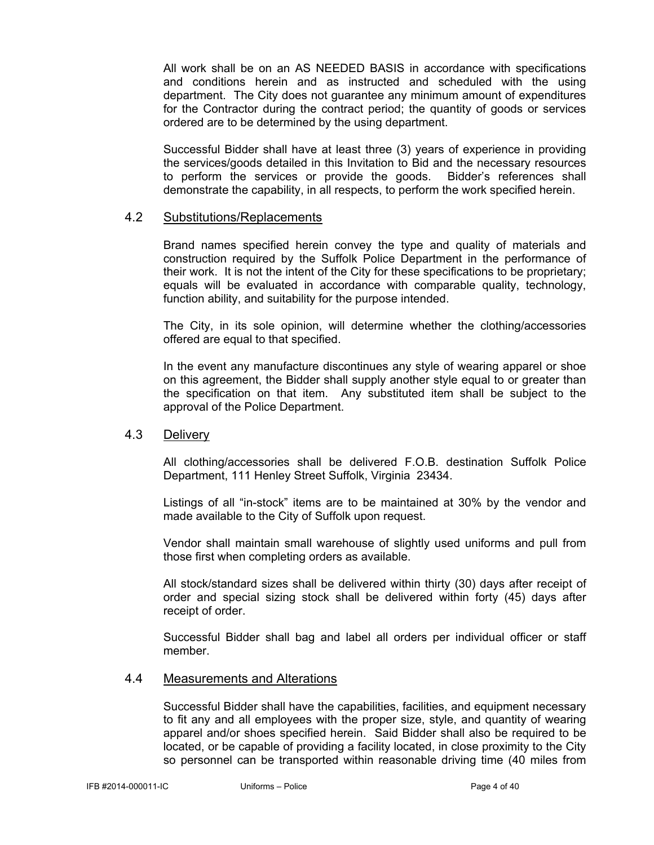All work shall be on an AS NEEDED BASIS in accordance with specifications and conditions herein and as instructed and scheduled with the using department. The City does not guarantee any minimum amount of expenditures for the Contractor during the contract period; the quantity of goods or services ordered are to be determined by the using department.

Successful Bidder shall have at least three (3) years of experience in providing the services/goods detailed in this Invitation to Bid and the necessary resources to perform the services or provide the goods. Bidder's references shall demonstrate the capability, in all respects, to perform the work specified herein.

### 4.2 Substitutions/Replacements

Brand names specified herein convey the type and quality of materials and construction required by the Suffolk Police Department in the performance of their work. It is not the intent of the City for these specifications to be proprietary; equals will be evaluated in accordance with comparable quality, technology, function ability, and suitability for the purpose intended.

The City, in its sole opinion, will determine whether the clothing/accessories offered are equal to that specified.

In the event any manufacture discontinues any style of wearing apparel or shoe on this agreement, the Bidder shall supply another style equal to or greater than the specification on that item. Any substituted item shall be subject to the approval of the Police Department.

### 4.3 Delivery

All clothing/accessories shall be delivered F.O.B. destination Suffolk Police Department, 111 Henley Street Suffolk, Virginia 23434.

Listings of all "in-stock" items are to be maintained at 30% by the vendor and made available to the City of Suffolk upon request.

Vendor shall maintain small warehouse of slightly used uniforms and pull from those first when completing orders as available.

All stock/standard sizes shall be delivered within thirty (30) days after receipt of order and special sizing stock shall be delivered within forty (45) days after receipt of order.

Successful Bidder shall bag and label all orders per individual officer or staff member.

#### 4.4 Measurements and Alterations

Successful Bidder shall have the capabilities, facilities, and equipment necessary to fit any and all employees with the proper size, style, and quantity of wearing apparel and/or shoes specified herein. Said Bidder shall also be required to be located, or be capable of providing a facility located, in close proximity to the City so personnel can be transported within reasonable driving time (40 miles from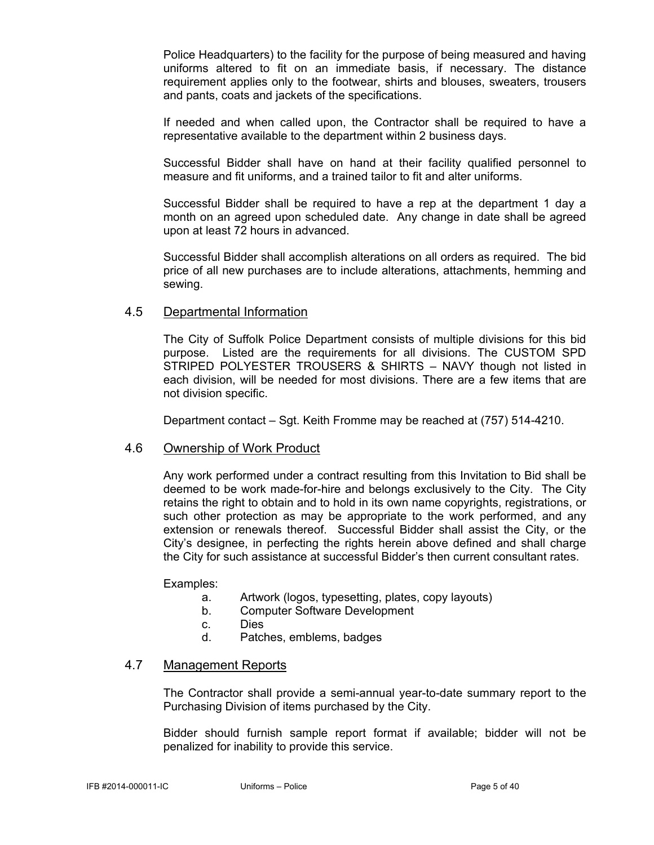Police Headquarters) to the facility for the purpose of being measured and having uniforms altered to fit on an immediate basis, if necessary. The distance requirement applies only to the footwear, shirts and blouses, sweaters, trousers and pants, coats and jackets of the specifications.

If needed and when called upon, the Contractor shall be required to have a representative available to the department within 2 business days.

Successful Bidder shall have on hand at their facility qualified personnel to measure and fit uniforms, and a trained tailor to fit and alter uniforms.

Successful Bidder shall be required to have a rep at the department 1 day a month on an agreed upon scheduled date. Any change in date shall be agreed upon at least 72 hours in advanced.

Successful Bidder shall accomplish alterations on all orders as required. The bid price of all new purchases are to include alterations, attachments, hemming and sewing.

### 4.5 Departmental Information

The City of Suffolk Police Department consists of multiple divisions for this bid purpose. Listed are the requirements for all divisions. The CUSTOM SPD STRIPED POLYESTER TROUSERS & SHIRTS – NAVY though not listed in each division, will be needed for most divisions. There are a few items that are not division specific.

Department contact – Sgt. Keith Fromme may be reached at (757) 514-4210.

### 4.6 Ownership of Work Product

Any work performed under a contract resulting from this Invitation to Bid shall be deemed to be work made-for-hire and belongs exclusively to the City. The City retains the right to obtain and to hold in its own name copyrights, registrations, or such other protection as may be appropriate to the work performed, and any extension or renewals thereof. Successful Bidder shall assist the City, or the City's designee, in perfecting the rights herein above defined and shall charge the City for such assistance at successful Bidder's then current consultant rates.

Examples:

- a. Artwork (logos, typesetting, plates, copy layouts)
- b. Computer Software Development
- c. Dies
- d. Patches, emblems, badges

### 4.7 Management Reports

The Contractor shall provide a semi-annual year-to-date summary report to the Purchasing Division of items purchased by the City.

 Bidder should furnish sample report format if available; bidder will not be penalized for inability to provide this service.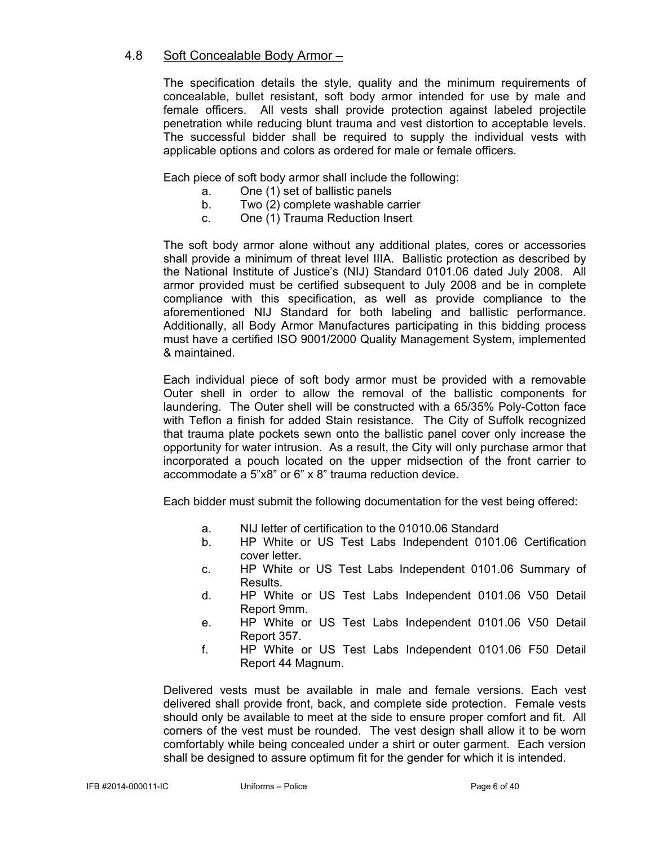### 4.8 Soft Concealable Body Armor –

The specification details the style, quality and the minimum requirements of concealable, bullet resistant, soft body armor intended for use by male and female officers. All vests shall provide protection against labeled projectile penetration while reducing blunt trauma and vest distortion to acceptable levels. The successful bidder shall be required to supply the individual vests with applicable options and colors as ordered for male or female officers.

Each piece of soft body armor shall include the following:

- a. One (1) set of ballistic panels
- b. Two (2) complete washable carrier
- c. One (1) Trauma Reduction Insert

The soft body armor alone without any additional plates, cores or accessories shall provide a minimum of threat level IIIA. Ballistic protection as described by the National Institute of Justice's (NIJ) Standard 0101.06 dated July 2008. All armor provided must be certified subsequent to July 2008 and be in complete compliance with this specification, as well as provide compliance to the aforementioned NIJ Standard for both labeling and ballistic performance. Additionally, all Body Armor Manufactures participating in this bidding process must have a certified ISO 9001/2000 Quality Management System, implemented & maintained.

Each individual piece of soft body armor must be provided with a removable Outer shell in order to allow the removal of the ballistic components for laundering. The Outer shell will be constructed with a 65/35% Poly-Cotton face with Teflon a finish for added Stain resistance. The City of Suffolk recognized that trauma plate pockets sewn onto the ballistic panel cover only increase the opportunity for water intrusion. As a result, the City will only purchase armor that incorporated a pouch located on the upper midsection of the front carrier to accommodate a 5"x8" or 6" x 8" trauma reduction device.

Each bidder must submit the following documentation for the vest being offered:

- a. NIJ letter of certification to the 01010.06 Standard
- b. HP White or US Test Labs Independent 0101.06 Certification cover letter.
- c. HP White or US Test Labs Independent 0101.06 Summary of Results.
- d. HP White or US Test Labs Independent 0101.06 V50 Detail Report 9mm.
- e. HP White or US Test Labs Independent 0101.06 V50 Detail Report 357.
- f. HP White or US Test Labs Independent 0101.06 F50 Detail Report 44 Magnum.

Delivered vests must be available in male and female versions. Each vest delivered shall provide front, back, and complete side protection. Female vests should only be available to meet at the side to ensure proper comfort and fit. All corners of the vest must be rounded. The vest design shall allow it to be worn comfortably while being concealed under a shirt or outer garment. Each version shall be designed to assure optimum fit for the gender for which it is intended.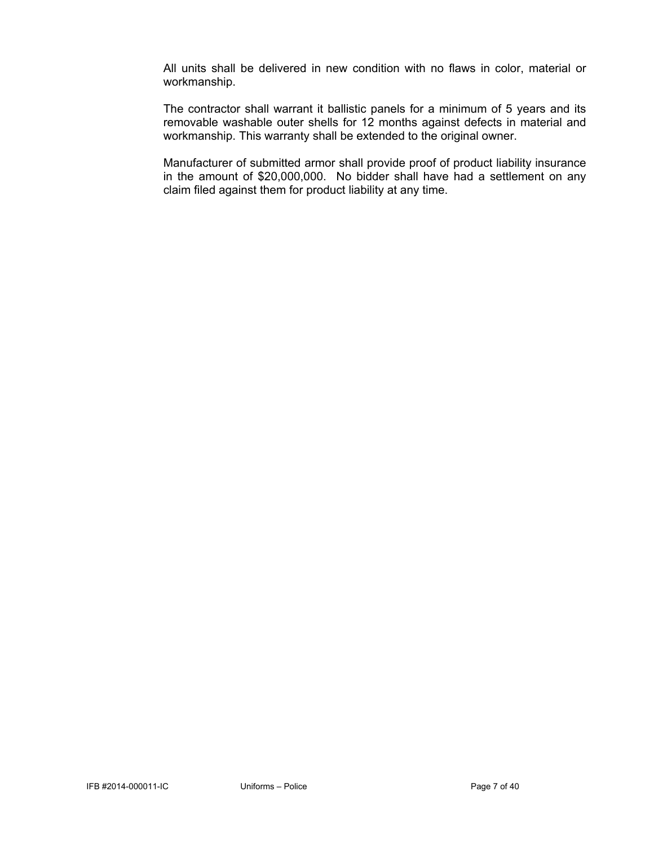All units shall be delivered in new condition with no flaws in color, material or workmanship.

The contractor shall warrant it ballistic panels for a minimum of 5 years and its removable washable outer shells for 12 months against defects in material and workmanship. This warranty shall be extended to the original owner.

Manufacturer of submitted armor shall provide proof of product liability insurance in the amount of \$20,000,000. No bidder shall have had a settlement on any claim filed against them for product liability at any time.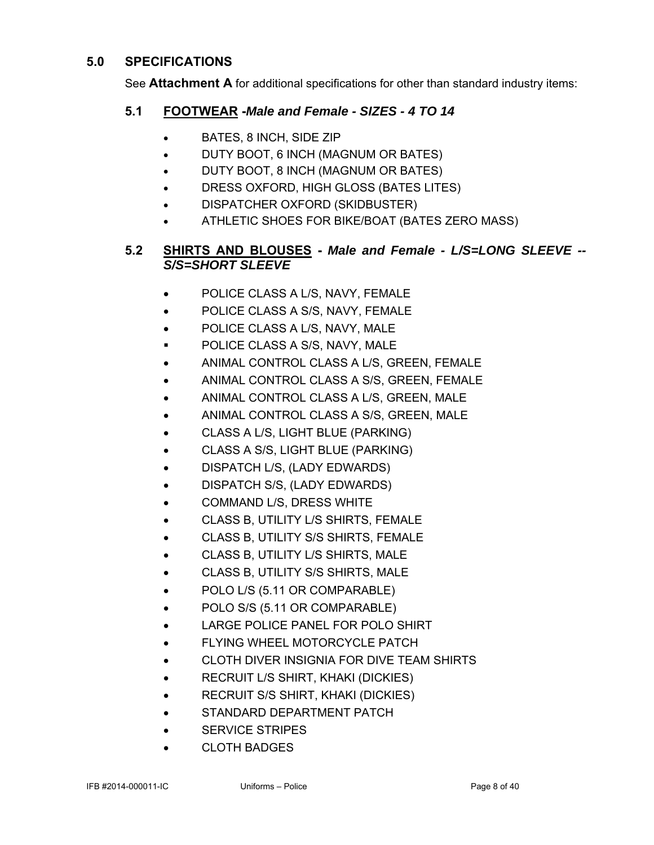### **5.0 SPECIFICATIONS**

See **Attachment A** for additional specifications for other than standard industry items:

### **5.1 FOOTWEAR -***Male and Female - SIZES - 4 TO 14*

- BATES, 8 INCH, SIDE ZIP
- **DUTY BOOT, 6 INCH (MAGNUM OR BATES)**
- DUTY BOOT, 8 INCH (MAGNUM OR BATES)
- DRESS OXFORD, HIGH GLOSS (BATES LITES)
- DISPATCHER OXFORD (SKIDBUSTER)
- ATHLETIC SHOES FOR BIKE/BOAT (BATES ZERO MASS)

### **5.2 SHIRTS AND BLOUSES -** *Male and Female - L/S=LONG SLEEVE -- S/S=SHORT SLEEVE*

- POLICE CLASS A L/S, NAVY, FEMALE
- POLICE CLASS A S/S, NAVY, FEMALE
- POLICE CLASS A L/S, NAVY, MALE
- **POLICE CLASS A S/S, NAVY, MALE**
- ANIMAL CONTROL CLASS A L/S, GREEN, FEMALE
- ANIMAL CONTROL CLASS A S/S, GREEN, FEMALE
- ANIMAL CONTROL CLASS A L/S, GREEN, MALE
- ANIMAL CONTROL CLASS A S/S, GREEN, MALE
- CLASS A L/S, LIGHT BLUE (PARKING)
- CLASS A S/S, LIGHT BLUE (PARKING)
- DISPATCH L/S, (LADY EDWARDS)
- DISPATCH S/S, (LADY EDWARDS)
- COMMAND L/S, DRESS WHITE
- CLASS B, UTILITY L/S SHIRTS, FEMALE
- CLASS B, UTILITY S/S SHIRTS, FEMALE
- CLASS B, UTILITY L/S SHIRTS, MALE
- CLASS B, UTILITY S/S SHIRTS, MALE
- POLO L/S (5.11 OR COMPARABLE)
- POLO S/S (5.11 OR COMPARABLE)
- LARGE POLICE PANEL FOR POLO SHIRT
- FLYING WHEEL MOTORCYCLE PATCH
- CLOTH DIVER INSIGNIA FOR DIVE TEAM SHIRTS
- **•** RECRUIT L/S SHIRT, KHAKI (DICKIES)
- RECRUIT S/S SHIRT, KHAKI (DICKIES)
- STANDARD DEPARTMENT PATCH
- **SERVICE STRIPES**
- **CLOTH BADGES**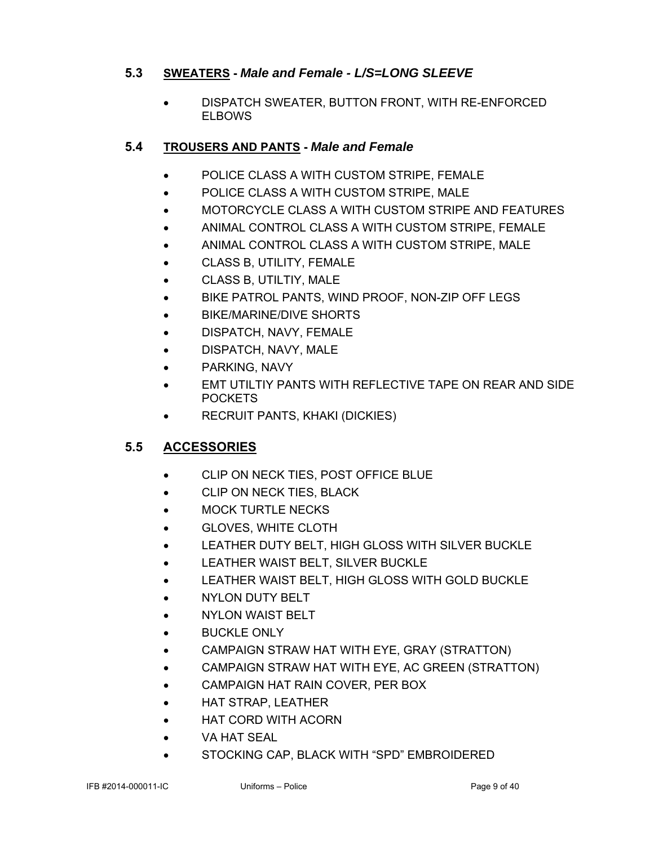### **5.3 SWEATERS -** *Male and Female - L/S=LONG SLEEVE*

 DISPATCH SWEATER, BUTTON FRONT, WITH RE-ENFORCED **ELBOWS** 

### **5.4 TROUSERS AND PANTS -** *Male and Female*

- POLICE CLASS A WITH CUSTOM STRIPE, FEMALE
- POLICE CLASS A WITH CUSTOM STRIPE, MALE
- MOTORCYCLE CLASS A WITH CUSTOM STRIPE AND FEATURES
- ANIMAL CONTROL CLASS A WITH CUSTOM STRIPE, FEMALE
- ANIMAL CONTROL CLASS A WITH CUSTOM STRIPE, MALE
- CLASS B, UTILITY, FEMALE
- CLASS B, UTILTIY, MALE
- BIKE PATROL PANTS, WIND PROOF, NON-ZIP OFF LEGS
- BIKE/MARINE/DIVE SHORTS
- DISPATCH, NAVY, FEMALE
- DISPATCH, NAVY, MALE
- PARKING, NAVY
- EMT UTILTIY PANTS WITH REFLECTIVE TAPE ON REAR AND SIDE **POCKETS**
- RECRUIT PANTS, KHAKI (DICKIES)

### **5.5 ACCESSORIES**

- CLIP ON NECK TIES, POST OFFICE BLUE
- **CLIP ON NECK TIES, BLACK**
- MOCK TURTLE NECKS
- GLOVES, WHITE CLOTH
- LEATHER DUTY BELT, HIGH GLOSS WITH SILVER BUCKLE
- LEATHER WAIST BELT, SILVER BUCKLE
- LEATHER WAIST BELT, HIGH GLOSS WITH GOLD BUCKLE
- NYLON DUTY BELT
- **NYLON WAIST BELT**
- **BUCKLE ONLY**
- CAMPAIGN STRAW HAT WITH EYE, GRAY (STRATTON)
- CAMPAIGN STRAW HAT WITH EYE, AC GREEN (STRATTON)
- CAMPAIGN HAT RAIN COVER, PER BOX
- HAT STRAP, LEATHER
- HAT CORD WITH ACORN
- VA HAT SEAL
- STOCKING CAP, BLACK WITH "SPD" EMBROIDERED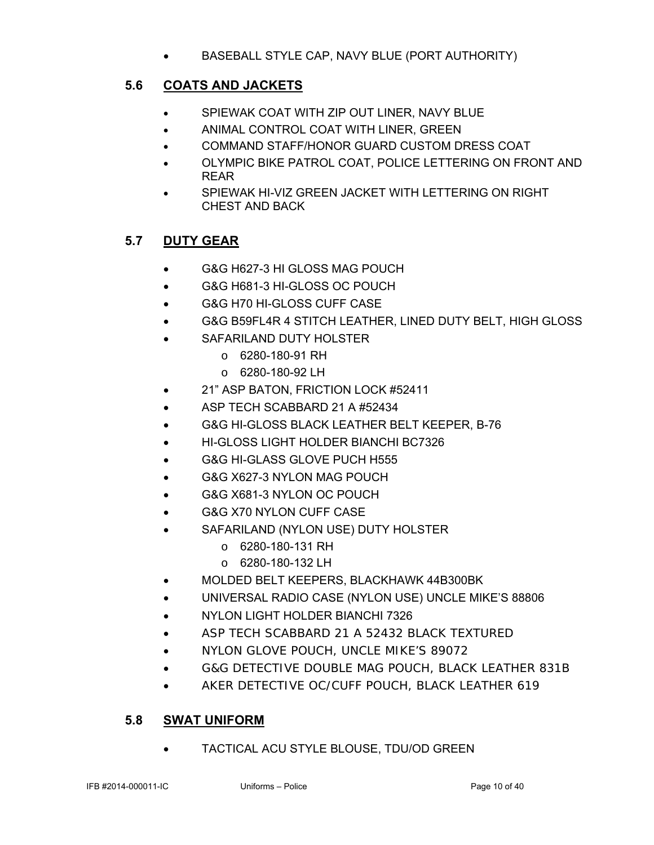BASEBALL STYLE CAP, NAVY BLUE (PORT AUTHORITY)

### **5.6 COATS AND JACKETS**

- SPIEWAK COAT WITH ZIP OUT LINER, NAVY BLUE
- ANIMAL CONTROL COAT WITH LINER, GREEN
- COMMAND STAFF/HONOR GUARD CUSTOM DRESS COAT
- OLYMPIC BIKE PATROL COAT, POLICE LETTERING ON FRONT AND REAR
- **SPIEWAK HI-VIZ GREEN JACKET WITH LETTERING ON RIGHT** CHEST AND BACK

### **5.7 DUTY GEAR**

- G&G H627-3 HI GLOSS MAG POUCH
- G&G H681-3 HI-GLOSS OC POUCH
- G&G H70 HI-GLOSS CUFF CASE
- G&G B59FL4R 4 STITCH LEATHER, LINED DUTY BELT, HIGH GLOSS
- SAFARILAND DUTY HOLSTER
	- o 6280-180-91 RH
	- $O$  6280-180-92 LH
- 21" ASP BATON, FRICTION LOCK #52411
- ASP TECH SCABBARD 21 A #52434
- G&G HI-GLOSS BLACK LEATHER BELT KEEPER, B-76
- HI-GLOSS LIGHT HOLDER BIANCHI BC7326
- G&G HI-GLASS GLOVE PUCH H555
- G&G X627-3 NYLON MAG POUCH
- G&G X681-3 NYLON OC POUCH
- G&G X70 NYLON CUFF CASE
- SAFARILAND (NYLON USE) DUTY HOLSTER
	- o 6280-180-131 RH
	- o 6280-180-132 LH
- MOLDED BELT KEEPERS, BLACKHAWK 44B300BK
- UNIVERSAL RADIO CASE (NYLON USE) UNCLE MIKE'S 88806
- NYLON LIGHT HOLDER BIANCHI 7326
- ASP TECH SCABBARD 21 A 52432 BLACK TEXTURED
- NYLON GLOVE POUCH, UNCLE MIKE'S 89072
- G&G DETECTIVE DOUBLE MAG POUCH, BLACK LEATHER 831B
- AKER DETECTIVE OC/CUFF POUCH, BLACK LEATHER 619

### **5.8 SWAT UNIFORM**

TACTICAL ACU STYLE BLOUSE, TDU/OD GREEN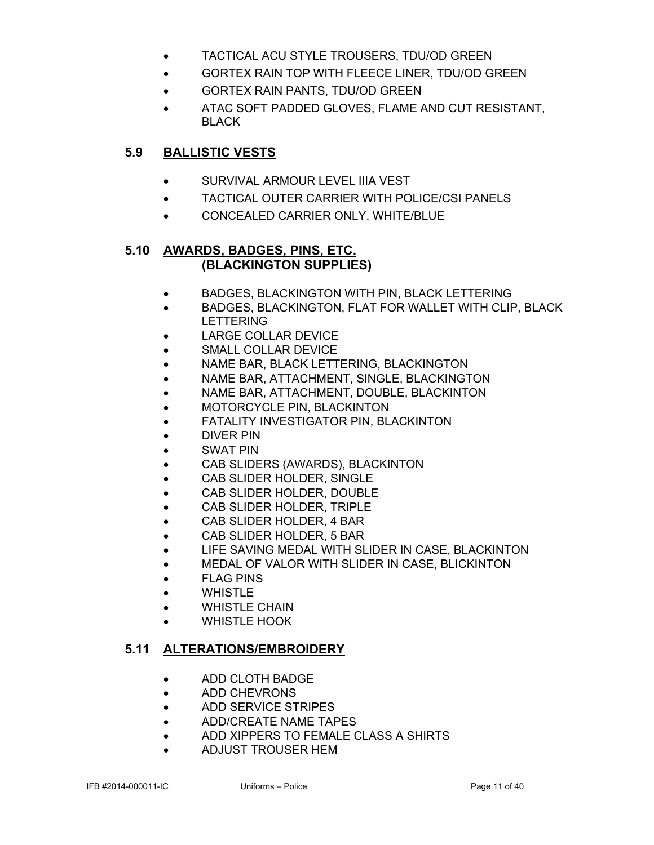- TACTICAL ACU STYLE TROUSERS, TDU/OD GREEN
- GORTEX RAIN TOP WITH FLEECE LINER, TDU/OD GREEN
- GORTEX RAIN PANTS, TDU/OD GREEN
- ATAC SOFT PADDED GLOVES, FLAME AND CUT RESISTANT, BLACK

### **5.9 BALLISTIC VESTS**

- SURVIVAL ARMOUR LEVEL IIIA VEST
- TACTICAL OUTER CARRIER WITH POLICE/CSI PANELS
- CONCEALED CARRIER ONLY, WHITE/BLUE

### **5.10 AWARDS, BADGES, PINS, ETC. (BLACKINGTON SUPPLIES)**

- BADGES, BLACKINGTON WITH PIN, BLACK LETTERING
- BADGES, BLACKINGTON, FLAT FOR WALLET WITH CLIP, BLACK LETTERING
- LARGE COLLAR DEVICE
- SMALL COLLAR DEVICE
- NAME BAR, BLACK LETTERING, BLACKINGTON
- NAME BAR, ATTACHMENT, SINGLE, BLACKINGTON
- NAME BAR, ATTACHMENT, DOUBLE, BLACKINTON
- MOTORCYCLE PIN, BLACKINTON
- FATALITY INVESTIGATOR PIN, BLACKINTON
- DIVER PIN
- SWAT PIN
- CAB SLIDERS (AWARDS), BLACKINTON
- CAB SLIDER HOLDER, SINGLE
- CAB SLIDER HOLDER, DOUBLE
- CAB SLIDER HOLDER, TRIPLE
- CAB SLIDER HOLDER, 4 BAR
- CAB SLIDER HOLDER, 5 BAR
- LIFE SAVING MEDAL WITH SLIDER IN CASE, BLACKINTON
- MEDAL OF VALOR WITH SLIDER IN CASE, BLICKINTON
- FLAG PINS
- WHISTLE
- WHISTLE CHAIN
- WHISTLE HOOK

### **5.11 ALTERATIONS/EMBROIDERY**

- ADD CLOTH BADGE
- ADD CHEVRONS
- ADD SERVICE STRIPES
- ADD/CREATE NAME TAPES
- ADD XIPPERS TO FEMALE CLASS A SHIRTS
- ADJUST TROUSER HEM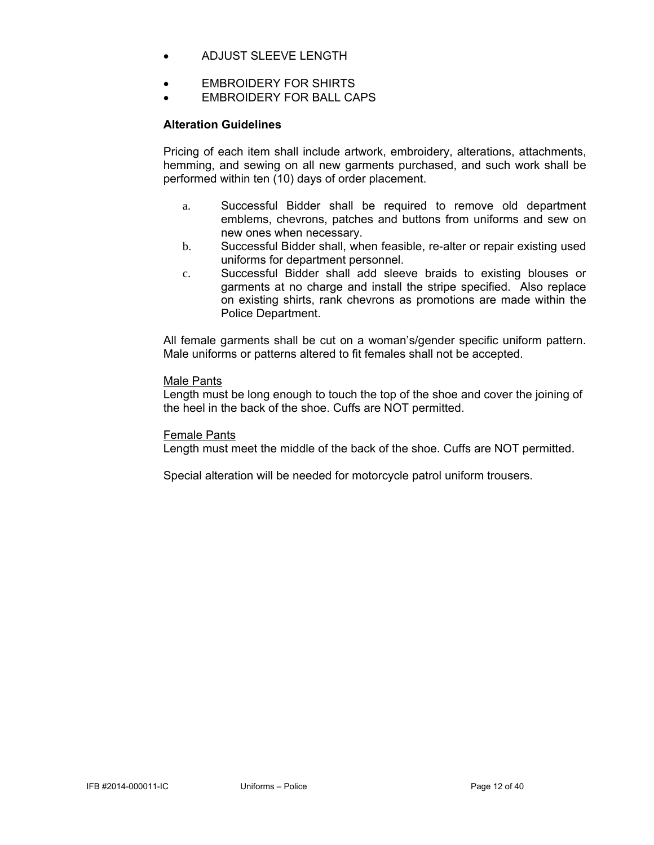- ADJUST SLEEVE LENGTH
- EMBROIDERY FOR SHIRTS
- EMBROIDERY FOR BALL CAPS

### **Alteration Guidelines**

Pricing of each item shall include artwork, embroidery, alterations, attachments, hemming, and sewing on all new garments purchased, and such work shall be performed within ten (10) days of order placement.

- a. Successful Bidder shall be required to remove old department emblems, chevrons, patches and buttons from uniforms and sew on new ones when necessary.
- b. Successful Bidder shall, when feasible, re-alter or repair existing used uniforms for department personnel.
- c. Successful Bidder shall add sleeve braids to existing blouses or garments at no charge and install the stripe specified. Also replace on existing shirts, rank chevrons as promotions are made within the Police Department.

All female garments shall be cut on a woman's/gender specific uniform pattern. Male uniforms or patterns altered to fit females shall not be accepted.

### Male Pants

Length must be long enough to touch the top of the shoe and cover the joining of the heel in the back of the shoe. Cuffs are NOT permitted.

### Female Pants

Length must meet the middle of the back of the shoe. Cuffs are NOT permitted.

Special alteration will be needed for motorcycle patrol uniform trousers.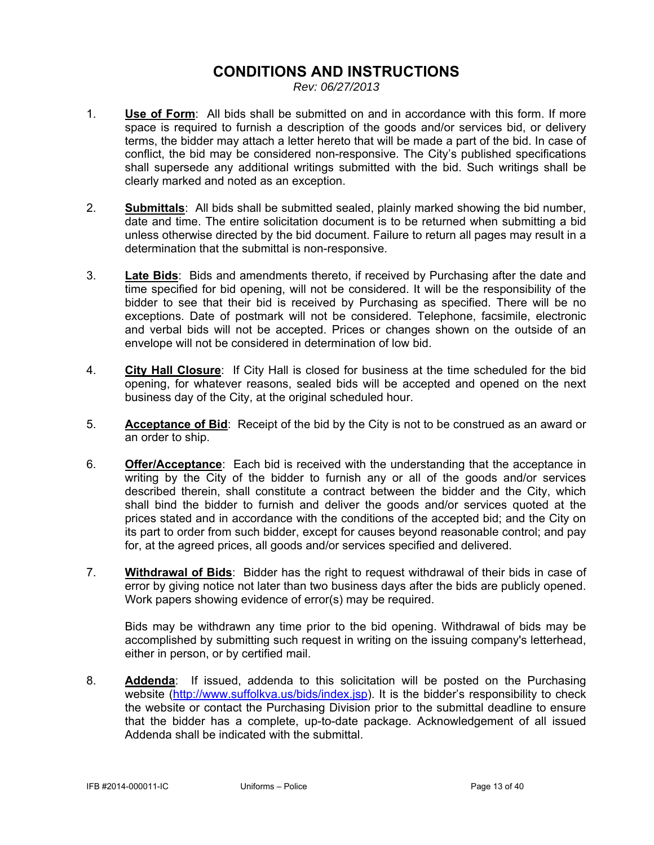### **CONDITIONS AND INSTRUCTIONS**

*Rev: 06/27/2013* 

- 1. **Use of Form**: All bids shall be submitted on and in accordance with this form. If more space is required to furnish a description of the goods and/or services bid, or delivery terms, the bidder may attach a letter hereto that will be made a part of the bid. In case of conflict, the bid may be considered non-responsive. The City's published specifications shall supersede any additional writings submitted with the bid. Such writings shall be clearly marked and noted as an exception.
- 2. **Submittals**: All bids shall be submitted sealed, plainly marked showing the bid number, date and time. The entire solicitation document is to be returned when submitting a bid unless otherwise directed by the bid document. Failure to return all pages may result in a determination that the submittal is non-responsive.
- 3. **Late Bids**: Bids and amendments thereto, if received by Purchasing after the date and time specified for bid opening, will not be considered. It will be the responsibility of the bidder to see that their bid is received by Purchasing as specified. There will be no exceptions. Date of postmark will not be considered. Telephone, facsimile, electronic and verbal bids will not be accepted. Prices or changes shown on the outside of an envelope will not be considered in determination of low bid.
- 4. **City Hall Closure**: If City Hall is closed for business at the time scheduled for the bid opening, for whatever reasons, sealed bids will be accepted and opened on the next business day of the City, at the original scheduled hour.
- 5. **Acceptance of Bid**: Receipt of the bid by the City is not to be construed as an award or an order to ship.
- 6. **Offer/Acceptance**: Each bid is received with the understanding that the acceptance in writing by the City of the bidder to furnish any or all of the goods and/or services described therein, shall constitute a contract between the bidder and the City, which shall bind the bidder to furnish and deliver the goods and/or services quoted at the prices stated and in accordance with the conditions of the accepted bid; and the City on its part to order from such bidder, except for causes beyond reasonable control; and pay for, at the agreed prices, all goods and/or services specified and delivered.
- 7. **Withdrawal of Bids**: Bidder has the right to request withdrawal of their bids in case of error by giving notice not later than two business days after the bids are publicly opened. Work papers showing evidence of error(s) may be required.

 Bids may be withdrawn any time prior to the bid opening. Withdrawal of bids may be accomplished by submitting such request in writing on the issuing company's letterhead, either in person, or by certified mail.

8. **Addenda**: If issued, addenda to this solicitation will be posted on the Purchasing website (http://www.suffolkva.us/bids/index.jsp). It is the bidder's responsibility to check the website or contact the Purchasing Division prior to the submittal deadline to ensure that the bidder has a complete, up-to-date package. Acknowledgement of all issued Addenda shall be indicated with the submittal.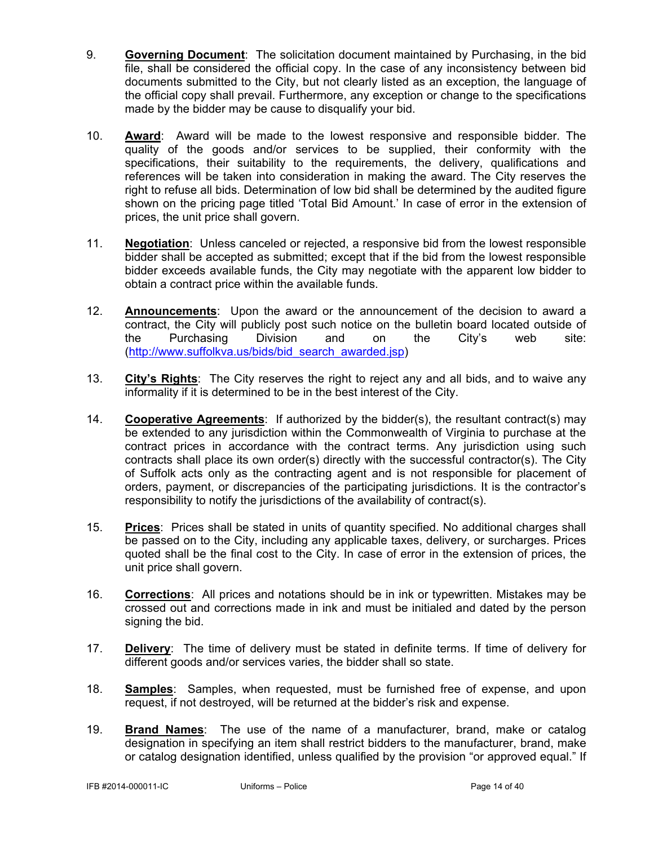- 9. **Governing Document**: The solicitation document maintained by Purchasing, in the bid file, shall be considered the official copy. In the case of any inconsistency between bid documents submitted to the City, but not clearly listed as an exception, the language of the official copy shall prevail. Furthermore, any exception or change to the specifications made by the bidder may be cause to disqualify your bid.
- 10. **Award**: Award will be made to the lowest responsive and responsible bidder. The quality of the goods and/or services to be supplied, their conformity with the specifications, their suitability to the requirements, the delivery, qualifications and references will be taken into consideration in making the award. The City reserves the right to refuse all bids. Determination of low bid shall be determined by the audited figure shown on the pricing page titled 'Total Bid Amount.' In case of error in the extension of prices, the unit price shall govern.
- 11. **Negotiation**: Unless canceled or rejected, a responsive bid from the lowest responsible bidder shall be accepted as submitted; except that if the bid from the lowest responsible bidder exceeds available funds, the City may negotiate with the apparent low bidder to obtain a contract price within the available funds.
- 12. **Announcements**: Upon the award or the announcement of the decision to award a contract, the City will publicly post such notice on the bulletin board located outside of the Purchasing Division and on the City's web site: (http://www.suffolkva.us/bids/bid\_search\_awarded.jsp)
- 13. **City's Rights**: The City reserves the right to reject any and all bids, and to waive any informality if it is determined to be in the best interest of the City.
- 14. **Cooperative Agreements**: If authorized by the bidder(s), the resultant contract(s) may be extended to any jurisdiction within the Commonwealth of Virginia to purchase at the contract prices in accordance with the contract terms. Any jurisdiction using such contracts shall place its own order(s) directly with the successful contractor(s). The City of Suffolk acts only as the contracting agent and is not responsible for placement of orders, payment, or discrepancies of the participating jurisdictions. It is the contractor's responsibility to notify the jurisdictions of the availability of contract(s).
- 15. **Prices**: Prices shall be stated in units of quantity specified. No additional charges shall be passed on to the City, including any applicable taxes, delivery, or surcharges. Prices quoted shall be the final cost to the City. In case of error in the extension of prices, the unit price shall govern.
- 16. **Corrections**: All prices and notations should be in ink or typewritten. Mistakes may be crossed out and corrections made in ink and must be initialed and dated by the person signing the bid.
- 17. **Delivery**: The time of delivery must be stated in definite terms. If time of delivery for different goods and/or services varies, the bidder shall so state.
- 18. **Samples**: Samples, when requested, must be furnished free of expense, and upon request, if not destroyed, will be returned at the bidder's risk and expense.
- 19. **Brand Names**: The use of the name of a manufacturer, brand, make or catalog designation in specifying an item shall restrict bidders to the manufacturer, brand, make or catalog designation identified, unless qualified by the provision "or approved equal." If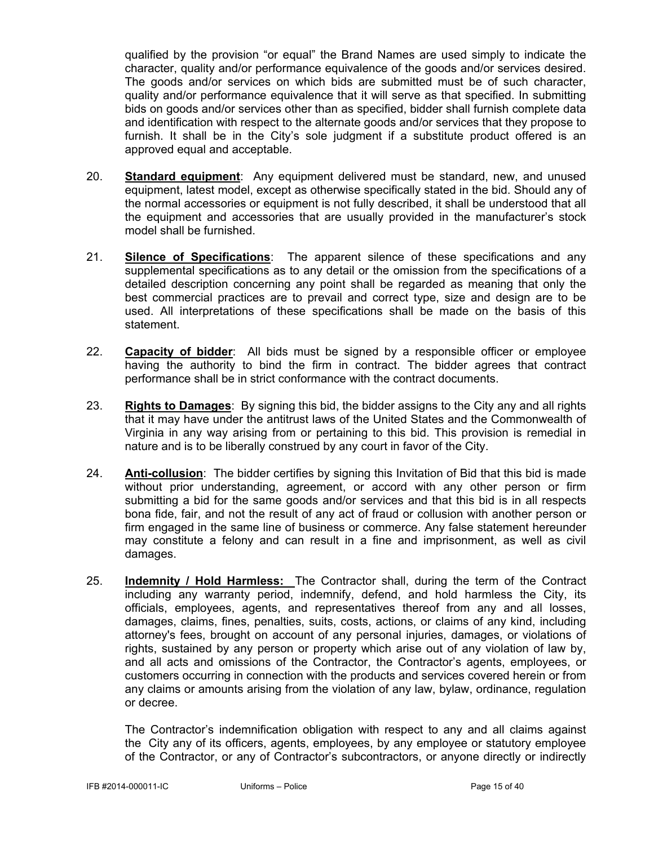qualified by the provision "or equal" the Brand Names are used simply to indicate the character, quality and/or performance equivalence of the goods and/or services desired. The goods and/or services on which bids are submitted must be of such character, quality and/or performance equivalence that it will serve as that specified. In submitting bids on goods and/or services other than as specified, bidder shall furnish complete data and identification with respect to the alternate goods and/or services that they propose to furnish. It shall be in the City's sole judgment if a substitute product offered is an approved equal and acceptable.

- 20. **Standard equipment**: Any equipment delivered must be standard, new, and unused equipment, latest model, except as otherwise specifically stated in the bid. Should any of the normal accessories or equipment is not fully described, it shall be understood that all the equipment and accessories that are usually provided in the manufacturer's stock model shall be furnished.
- 21. **Silence of Specifications**: The apparent silence of these specifications and any supplemental specifications as to any detail or the omission from the specifications of a detailed description concerning any point shall be regarded as meaning that only the best commercial practices are to prevail and correct type, size and design are to be used. All interpretations of these specifications shall be made on the basis of this statement.
- 22. **Capacity of bidder**: All bids must be signed by a responsible officer or employee having the authority to bind the firm in contract. The bidder agrees that contract performance shall be in strict conformance with the contract documents.
- 23. **Rights to Damages**: By signing this bid, the bidder assigns to the City any and all rights that it may have under the antitrust laws of the United States and the Commonwealth of Virginia in any way arising from or pertaining to this bid. This provision is remedial in nature and is to be liberally construed by any court in favor of the City.
- 24. **Anti-collusion**: The bidder certifies by signing this Invitation of Bid that this bid is made without prior understanding, agreement, or accord with any other person or firm submitting a bid for the same goods and/or services and that this bid is in all respects bona fide, fair, and not the result of any act of fraud or collusion with another person or firm engaged in the same line of business or commerce. Any false statement hereunder may constitute a felony and can result in a fine and imprisonment, as well as civil damages.
- 25. **Indemnity / Hold Harmless:** The Contractor shall, during the term of the Contract including any warranty period, indemnify, defend, and hold harmless the City, its officials, employees, agents, and representatives thereof from any and all losses, damages, claims, fines, penalties, suits, costs, actions, or claims of any kind, including attorney's fees, brought on account of any personal injuries, damages, or violations of rights, sustained by any person or property which arise out of any violation of law by, and all acts and omissions of the Contractor, the Contractor's agents, employees, or customers occurring in connection with the products and services covered herein or from any claims or amounts arising from the violation of any law, bylaw, ordinance, regulation or decree.

The Contractor's indemnification obligation with respect to any and all claims against the City any of its officers, agents, employees, by any employee or statutory employee of the Contractor, or any of Contractor's subcontractors, or anyone directly or indirectly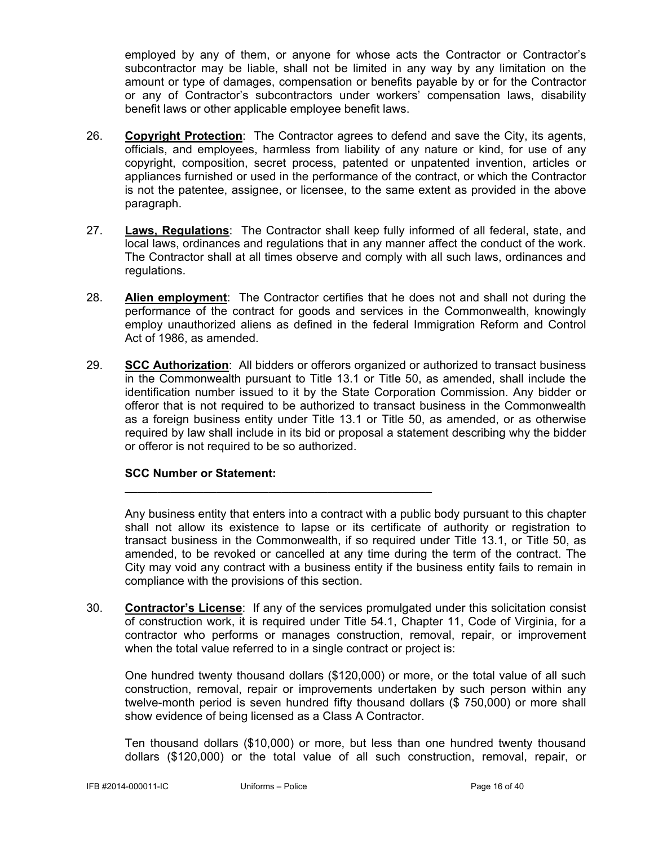employed by any of them, or anyone for whose acts the Contractor or Contractor's subcontractor may be liable, shall not be limited in any way by any limitation on the amount or type of damages, compensation or benefits payable by or for the Contractor or any of Contractor's subcontractors under workers' compensation laws, disability benefit laws or other applicable employee benefit laws.

- 26. **Copyright Protection**: The Contractor agrees to defend and save the City, its agents, officials, and employees, harmless from liability of any nature or kind, for use of any copyright, composition, secret process, patented or unpatented invention, articles or appliances furnished or used in the performance of the contract, or which the Contractor is not the patentee, assignee, or licensee, to the same extent as provided in the above paragraph.
- 27. **Laws, Regulations**: The Contractor shall keep fully informed of all federal, state, and local laws, ordinances and regulations that in any manner affect the conduct of the work. The Contractor shall at all times observe and comply with all such laws, ordinances and regulations.
- 28. **Alien employment**: The Contractor certifies that he does not and shall not during the performance of the contract for goods and services in the Commonwealth, knowingly employ unauthorized aliens as defined in the federal Immigration Reform and Control Act of 1986, as amended.
- 29. **SCC Authorization**: All bidders or offerors organized or authorized to transact business in the Commonwealth pursuant to Title 13.1 or Title 50, as amended, shall include the identification number issued to it by the State Corporation Commission. Any bidder or offeror that is not required to be authorized to transact business in the Commonwealth as a foreign business entity under Title 13.1 or Title 50, as amended, or as otherwise required by law shall include in its bid or proposal a statement describing why the bidder or offeror is not required to be so authorized.

### **SCC Number or Statement:**

 Any business entity that enters into a contract with a public body pursuant to this chapter shall not allow its existence to lapse or its certificate of authority or registration to transact business in the Commonwealth, if so required under Title 13.1, or Title 50, as amended, to be revoked or cancelled at any time during the term of the contract. The City may void any contract with a business entity if the business entity fails to remain in compliance with the provisions of this section.

30. **Contractor's License**: If any of the services promulgated under this solicitation consist of construction work, it is required under Title 54.1, Chapter 11, Code of Virginia, for a contractor who performs or manages construction, removal, repair, or improvement when the total value referred to in a single contract or project is:

 One hundred twenty thousand dollars (\$120,000) or more, or the total value of all such construction, removal, repair or improvements undertaken by such person within any twelve-month period is seven hundred fifty thousand dollars (\$ 750,000) or more shall show evidence of being licensed as a Class A Contractor.

 Ten thousand dollars (\$10,000) or more, but less than one hundred twenty thousand dollars (\$120,000) or the total value of all such construction, removal, repair, or

**\_\_\_\_\_\_\_\_\_\_\_\_\_\_\_\_\_\_\_\_\_\_\_\_\_\_\_\_\_\_\_\_\_\_\_\_\_\_\_\_\_\_\_\_\_\_\_**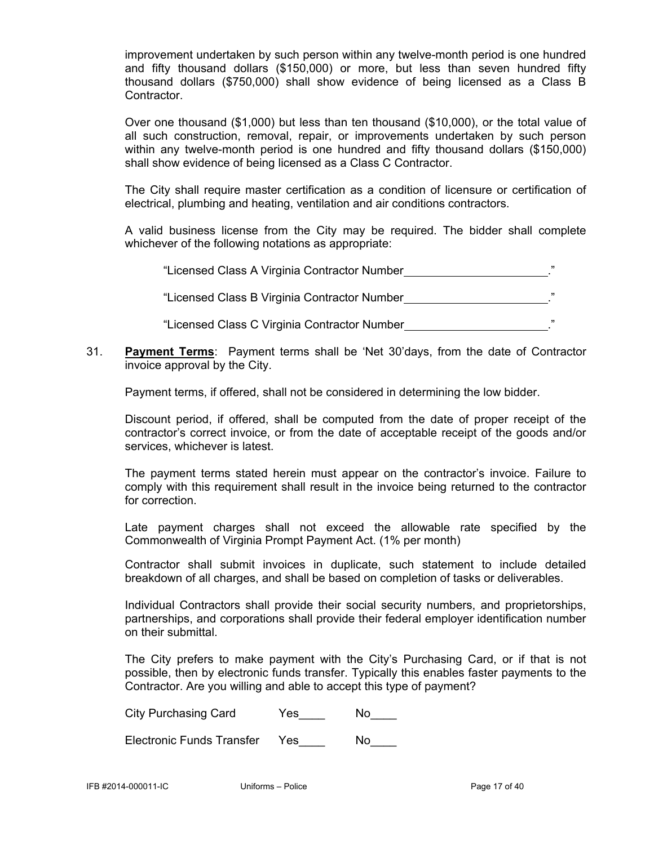improvement undertaken by such person within any twelve-month period is one hundred and fifty thousand dollars (\$150,000) or more, but less than seven hundred fifty thousand dollars (\$750,000) shall show evidence of being licensed as a Class B Contractor.

 Over one thousand (\$1,000) but less than ten thousand (\$10,000), or the total value of all such construction, removal, repair, or improvements undertaken by such person within any twelve-month period is one hundred and fifty thousand dollars (\$150,000) shall show evidence of being licensed as a Class C Contractor.

 The City shall require master certification as a condition of licensure or certification of electrical, plumbing and heating, ventilation and air conditions contractors.

 A valid business license from the City may be required. The bidder shall complete whichever of the following notations as appropriate:

"Licensed Class A Virginia Contractor Number **1998** 2022

"Licensed Class B Virginia Contractor Number ."

"Licensed Class C Virginia Contractor Number **...................................**."

31. **Payment Terms**: Payment terms shall be 'Net 30'days, from the date of Contractor invoice approval by the City.

Payment terms, if offered, shall not be considered in determining the low bidder.

 Discount period, if offered, shall be computed from the date of proper receipt of the contractor's correct invoice, or from the date of acceptable receipt of the goods and/or services, whichever is latest.

 The payment terms stated herein must appear on the contractor's invoice. Failure to comply with this requirement shall result in the invoice being returned to the contractor for correction.

 Late payment charges shall not exceed the allowable rate specified by the Commonwealth of Virginia Prompt Payment Act. (1% per month)

Contractor shall submit invoices in duplicate, such statement to include detailed breakdown of all charges, and shall be based on completion of tasks or deliverables.

 Individual Contractors shall provide their social security numbers, and proprietorships, partnerships, and corporations shall provide their federal employer identification number on their submittal.

 The City prefers to make payment with the City's Purchasing Card, or if that is not possible, then by electronic funds transfer. Typically this enables faster payments to the Contractor. Are you willing and able to accept this type of payment?

| <b>City Purchasing Card</b> | Yes | No |
|-----------------------------|-----|----|
|-----------------------------|-----|----|

| Electronic Funds Transfer | Yes. | No. |
|---------------------------|------|-----|
|---------------------------|------|-----|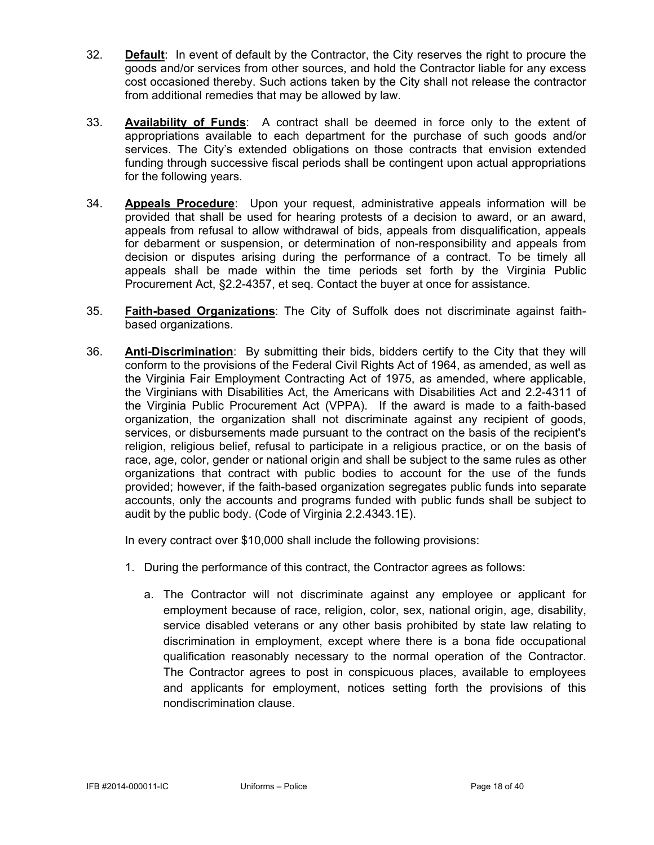- 32. **Default**: In event of default by the Contractor, the City reserves the right to procure the goods and/or services from other sources, and hold the Contractor liable for any excess cost occasioned thereby. Such actions taken by the City shall not release the contractor from additional remedies that may be allowed by law.
- 33. **Availability of Funds**: A contract shall be deemed in force only to the extent of appropriations available to each department for the purchase of such goods and/or services. The City's extended obligations on those contracts that envision extended funding through successive fiscal periods shall be contingent upon actual appropriations for the following years.
- 34. **Appeals Procedure**: Upon your request, administrative appeals information will be provided that shall be used for hearing protests of a decision to award, or an award, appeals from refusal to allow withdrawal of bids, appeals from disqualification, appeals for debarment or suspension, or determination of non-responsibility and appeals from decision or disputes arising during the performance of a contract. To be timely all appeals shall be made within the time periods set forth by the Virginia Public Procurement Act, §2.2-4357, et seq. Contact the buyer at once for assistance.
- 35. **Faith-based Organizations**: The City of Suffolk does not discriminate against faithbased organizations.
- 36. **Anti-Discrimination**: By submitting their bids, bidders certify to the City that they will conform to the provisions of the Federal Civil Rights Act of 1964, as amended, as well as the Virginia Fair Employment Contracting Act of 1975, as amended, where applicable, the Virginians with Disabilities Act, the Americans with Disabilities Act and 2.2-4311 of the Virginia Public Procurement Act (VPPA). If the award is made to a faith-based organization, the organization shall not discriminate against any recipient of goods, services, or disbursements made pursuant to the contract on the basis of the recipient's religion, religious belief, refusal to participate in a religious practice, or on the basis of race, age, color, gender or national origin and shall be subject to the same rules as other organizations that contract with public bodies to account for the use of the funds provided; however, if the faith-based organization segregates public funds into separate accounts, only the accounts and programs funded with public funds shall be subject to audit by the public body. (Code of Virginia 2.2.4343.1E).

In every contract over \$10,000 shall include the following provisions:

- 1. During the performance of this contract, the Contractor agrees as follows:
	- a. The Contractor will not discriminate against any employee or applicant for employment because of race, religion, color, sex, national origin, age, disability, service disabled veterans or any other basis prohibited by state law relating to discrimination in employment, except where there is a bona fide occupational qualification reasonably necessary to the normal operation of the Contractor. The Contractor agrees to post in conspicuous places, available to employees and applicants for employment, notices setting forth the provisions of this nondiscrimination clause.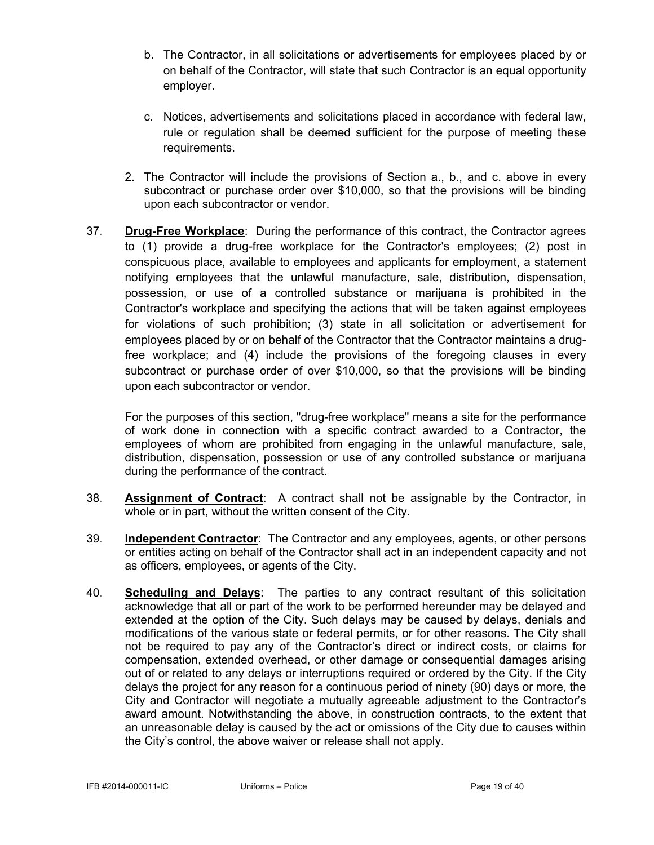- b. The Contractor, in all solicitations or advertisements for employees placed by or on behalf of the Contractor, will state that such Contractor is an equal opportunity employer.
- c. Notices, advertisements and solicitations placed in accordance with federal law, rule or regulation shall be deemed sufficient for the purpose of meeting these requirements.
- 2. The Contractor will include the provisions of Section a., b., and c. above in every subcontract or purchase order over \$10,000, so that the provisions will be binding upon each subcontractor or vendor.
- 37. **Drug-Free Workplace**: During the performance of this contract, the Contractor agrees to (1) provide a drug-free workplace for the Contractor's employees; (2) post in conspicuous place, available to employees and applicants for employment, a statement notifying employees that the unlawful manufacture, sale, distribution, dispensation, possession, or use of a controlled substance or marijuana is prohibited in the Contractor's workplace and specifying the actions that will be taken against employees for violations of such prohibition; (3) state in all solicitation or advertisement for employees placed by or on behalf of the Contractor that the Contractor maintains a drugfree workplace; and (4) include the provisions of the foregoing clauses in every subcontract or purchase order of over \$10,000, so that the provisions will be binding upon each subcontractor or vendor.

For the purposes of this section, "drug-free workplace" means a site for the performance of work done in connection with a specific contract awarded to a Contractor, the employees of whom are prohibited from engaging in the unlawful manufacture, sale, distribution, dispensation, possession or use of any controlled substance or marijuana during the performance of the contract.

- 38. **Assignment of Contract**: A contract shall not be assignable by the Contractor, in whole or in part, without the written consent of the City.
- 39. **Independent Contractor**: The Contractor and any employees, agents, or other persons or entities acting on behalf of the Contractor shall act in an independent capacity and not as officers, employees, or agents of the City.
- 40. **Scheduling and Delays**: The parties to any contract resultant of this solicitation acknowledge that all or part of the work to be performed hereunder may be delayed and extended at the option of the City. Such delays may be caused by delays, denials and modifications of the various state or federal permits, or for other reasons. The City shall not be required to pay any of the Contractor's direct or indirect costs, or claims for compensation, extended overhead, or other damage or consequential damages arising out of or related to any delays or interruptions required or ordered by the City. If the City delays the project for any reason for a continuous period of ninety (90) days or more, the City and Contractor will negotiate a mutually agreeable adjustment to the Contractor's award amount. Notwithstanding the above, in construction contracts, to the extent that an unreasonable delay is caused by the act or omissions of the City due to causes within the City's control, the above waiver or release shall not apply.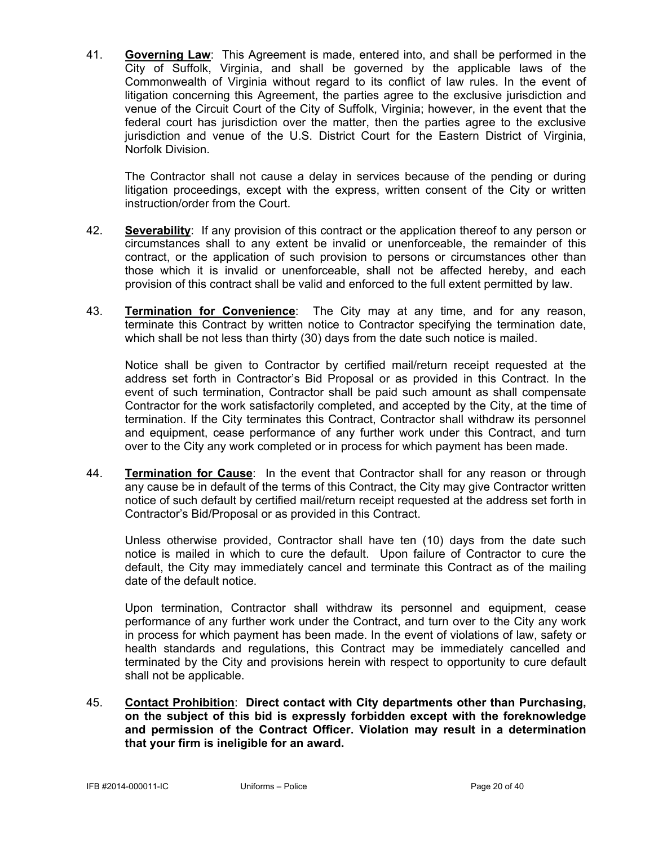41. **Governing Law**: This Agreement is made, entered into, and shall be performed in the City of Suffolk, Virginia, and shall be governed by the applicable laws of the Commonwealth of Virginia without regard to its conflict of law rules. In the event of litigation concerning this Agreement, the parties agree to the exclusive jurisdiction and venue of the Circuit Court of the City of Suffolk, Virginia; however, in the event that the federal court has jurisdiction over the matter, then the parties agree to the exclusive jurisdiction and venue of the U.S. District Court for the Eastern District of Virginia, Norfolk Division.

The Contractor shall not cause a delay in services because of the pending or during litigation proceedings, except with the express, written consent of the City or written instruction/order from the Court.

- 42. **Severability**: If any provision of this contract or the application thereof to any person or circumstances shall to any extent be invalid or unenforceable, the remainder of this contract, or the application of such provision to persons or circumstances other than those which it is invalid or unenforceable, shall not be affected hereby, and each provision of this contract shall be valid and enforced to the full extent permitted by law.
- 43. **Termination for Convenience**: The City may at any time, and for any reason, terminate this Contract by written notice to Contractor specifying the termination date, which shall be not less than thirty (30) days from the date such notice is mailed.

Notice shall be given to Contractor by certified mail/return receipt requested at the address set forth in Contractor's Bid Proposal or as provided in this Contract. In the event of such termination, Contractor shall be paid such amount as shall compensate Contractor for the work satisfactorily completed, and accepted by the City, at the time of termination. If the City terminates this Contract, Contractor shall withdraw its personnel and equipment, cease performance of any further work under this Contract, and turn over to the City any work completed or in process for which payment has been made.

44. **Termination for Cause**: In the event that Contractor shall for any reason or through any cause be in default of the terms of this Contract, the City may give Contractor written notice of such default by certified mail/return receipt requested at the address set forth in Contractor's Bid/Proposal or as provided in this Contract.

Unless otherwise provided, Contractor shall have ten (10) days from the date such notice is mailed in which to cure the default. Upon failure of Contractor to cure the default, the City may immediately cancel and terminate this Contract as of the mailing date of the default notice.

 Upon termination, Contractor shall withdraw its personnel and equipment, cease performance of any further work under the Contract, and turn over to the City any work in process for which payment has been made. In the event of violations of law, safety or health standards and regulations, this Contract may be immediately cancelled and terminated by the City and provisions herein with respect to opportunity to cure default shall not be applicable.

45. **Contact Prohibition**: **Direct contact with City departments other than Purchasing, on the subject of this bid is expressly forbidden except with the foreknowledge and permission of the Contract Officer. Violation may result in a determination that your firm is ineligible for an award.**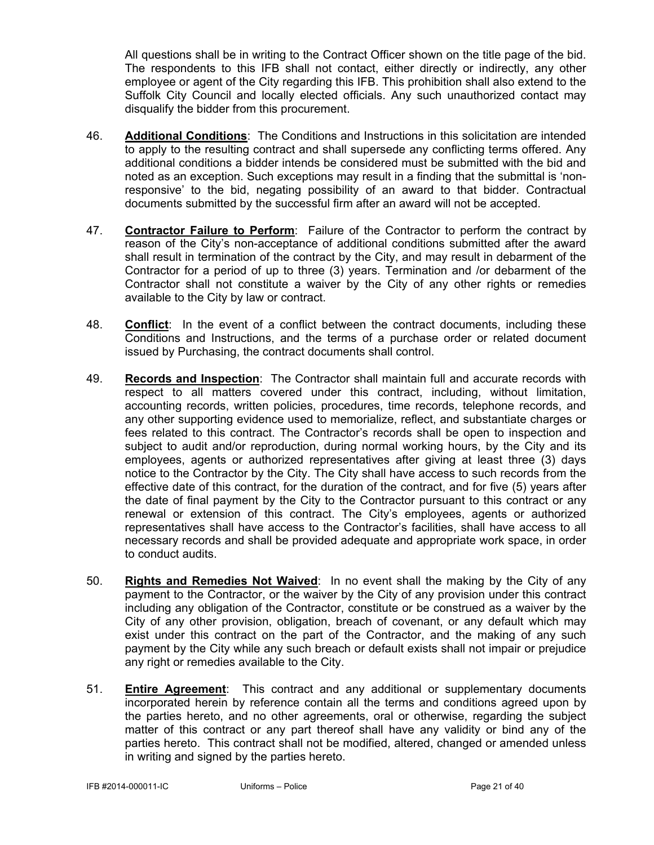All questions shall be in writing to the Contract Officer shown on the title page of the bid. The respondents to this IFB shall not contact, either directly or indirectly, any other employee or agent of the City regarding this IFB. This prohibition shall also extend to the Suffolk City Council and locally elected officials. Any such unauthorized contact may disqualify the bidder from this procurement.

- 46. **Additional Conditions**: The Conditions and Instructions in this solicitation are intended to apply to the resulting contract and shall supersede any conflicting terms offered. Any additional conditions a bidder intends be considered must be submitted with the bid and noted as an exception. Such exceptions may result in a finding that the submittal is 'nonresponsive' to the bid, negating possibility of an award to that bidder. Contractual documents submitted by the successful firm after an award will not be accepted.
- 47. **Contractor Failure to Perform**: Failure of the Contractor to perform the contract by reason of the City's non-acceptance of additional conditions submitted after the award shall result in termination of the contract by the City, and may result in debarment of the Contractor for a period of up to three (3) years. Termination and /or debarment of the Contractor shall not constitute a waiver by the City of any other rights or remedies available to the City by law or contract.
- 48. **Conflict**: In the event of a conflict between the contract documents, including these Conditions and Instructions, and the terms of a purchase order or related document issued by Purchasing, the contract documents shall control.
- 49. **Records and Inspection**: The Contractor shall maintain full and accurate records with respect to all matters covered under this contract, including, without limitation, accounting records, written policies, procedures, time records, telephone records, and any other supporting evidence used to memorialize, reflect, and substantiate charges or fees related to this contract. The Contractor's records shall be open to inspection and subject to audit and/or reproduction, during normal working hours, by the City and its employees, agents or authorized representatives after giving at least three (3) days notice to the Contractor by the City. The City shall have access to such records from the effective date of this contract, for the duration of the contract, and for five (5) years after the date of final payment by the City to the Contractor pursuant to this contract or any renewal or extension of this contract. The City's employees, agents or authorized representatives shall have access to the Contractor's facilities, shall have access to all necessary records and shall be provided adequate and appropriate work space, in order to conduct audits.
- 50. **Rights and Remedies Not Waived**: In no event shall the making by the City of any payment to the Contractor, or the waiver by the City of any provision under this contract including any obligation of the Contractor, constitute or be construed as a waiver by the City of any other provision, obligation, breach of covenant, or any default which may exist under this contract on the part of the Contractor, and the making of any such payment by the City while any such breach or default exists shall not impair or prejudice any right or remedies available to the City.
- 51. **Entire Agreement**: This contract and any additional or supplementary documents incorporated herein by reference contain all the terms and conditions agreed upon by the parties hereto, and no other agreements, oral or otherwise, regarding the subject matter of this contract or any part thereof shall have any validity or bind any of the parties hereto. This contract shall not be modified, altered, changed or amended unless in writing and signed by the parties hereto.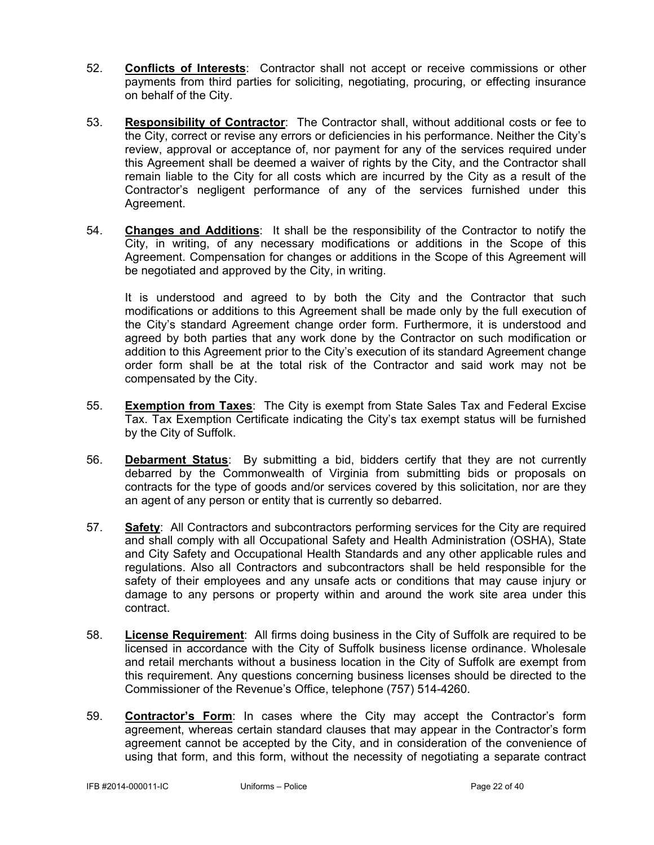- 52. **Conflicts of Interests**: Contractor shall not accept or receive commissions or other payments from third parties for soliciting, negotiating, procuring, or effecting insurance on behalf of the City.
- 53. **Responsibility of Contractor**: The Contractor shall, without additional costs or fee to the City, correct or revise any errors or deficiencies in his performance. Neither the City's review, approval or acceptance of, nor payment for any of the services required under this Agreement shall be deemed a waiver of rights by the City, and the Contractor shall remain liable to the City for all costs which are incurred by the City as a result of the Contractor's negligent performance of any of the services furnished under this Agreement.
- 54. **Changes and Additions**: It shall be the responsibility of the Contractor to notify the City, in writing, of any necessary modifications or additions in the Scope of this Agreement. Compensation for changes or additions in the Scope of this Agreement will be negotiated and approved by the City, in writing.

 It is understood and agreed to by both the City and the Contractor that such modifications or additions to this Agreement shall be made only by the full execution of the City's standard Agreement change order form. Furthermore, it is understood and agreed by both parties that any work done by the Contractor on such modification or addition to this Agreement prior to the City's execution of its standard Agreement change order form shall be at the total risk of the Contractor and said work may not be compensated by the City.

- 55. **Exemption from Taxes**: The City is exempt from State Sales Tax and Federal Excise Tax. Tax Exemption Certificate indicating the City's tax exempt status will be furnished by the City of Suffolk.
- 56. **Debarment Status**: By submitting a bid, bidders certify that they are not currently debarred by the Commonwealth of Virginia from submitting bids or proposals on contracts for the type of goods and/or services covered by this solicitation, nor are they an agent of any person or entity that is currently so debarred.
- 57. **Safety**: All Contractors and subcontractors performing services for the City are required and shall comply with all Occupational Safety and Health Administration (OSHA), State and City Safety and Occupational Health Standards and any other applicable rules and regulations. Also all Contractors and subcontractors shall be held responsible for the safety of their employees and any unsafe acts or conditions that may cause injury or damage to any persons or property within and around the work site area under this contract.
- 58. **License Requirement**: All firms doing business in the City of Suffolk are required to be licensed in accordance with the City of Suffolk business license ordinance. Wholesale and retail merchants without a business location in the City of Suffolk are exempt from this requirement. Any questions concerning business licenses should be directed to the Commissioner of the Revenue's Office, telephone (757) 514-4260.
- 59. **Contractor's Form**: In cases where the City may accept the Contractor's form agreement, whereas certain standard clauses that may appear in the Contractor's form agreement cannot be accepted by the City, and in consideration of the convenience of using that form, and this form, without the necessity of negotiating a separate contract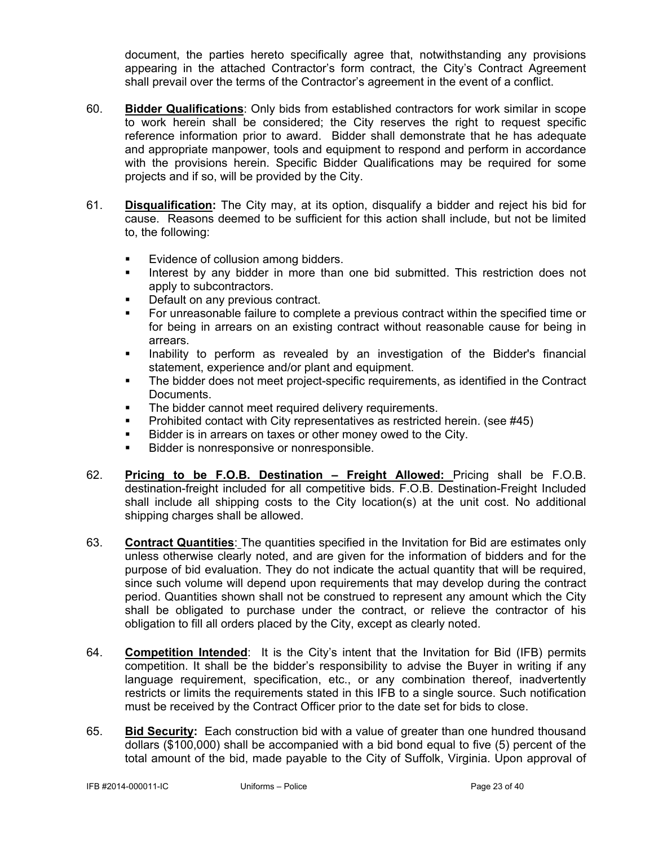document, the parties hereto specifically agree that, notwithstanding any provisions appearing in the attached Contractor's form contract, the City's Contract Agreement shall prevail over the terms of the Contractor's agreement in the event of a conflict.

- 60. **Bidder Qualifications**: Only bids from established contractors for work similar in scope to work herein shall be considered; the City reserves the right to request specific reference information prior to award. Bidder shall demonstrate that he has adequate and appropriate manpower, tools and equipment to respond and perform in accordance with the provisions herein. Specific Bidder Qualifications may be required for some projects and if so, will be provided by the City.
- 61. **Disqualification:** The City may, at its option, disqualify a bidder and reject his bid for cause. Reasons deemed to be sufficient for this action shall include, but not be limited to, the following:
	- **Evidence of collusion among bidders.**
	- Interest by any bidder in more than one bid submitted. This restriction does not apply to subcontractors.
	- Default on any previous contract.
	- For unreasonable failure to complete a previous contract within the specified time or for being in arrears on an existing contract without reasonable cause for being in arrears.
	- Inability to perform as revealed by an investigation of the Bidder's financial statement, experience and/or plant and equipment.
	- The bidder does not meet project-specific requirements, as identified in the Contract Documents.
	- **The bidder cannot meet required delivery requirements.**
	- **Prohibited contact with City representatives as restricted herein. (see #45)**
	- Bidder is in arrears on taxes or other money owed to the City.
	- Bidder is nonresponsive or nonresponsible.
- 62. **Pricing to be F.O.B. Destination Freight Allowed:** Pricing shall be F.O.B. destination-freight included for all competitive bids. F.O.B. Destination-Freight Included shall include all shipping costs to the City location(s) at the unit cost. No additional shipping charges shall be allowed.
- 63. **Contract Quantities**: The quantities specified in the Invitation for Bid are estimates only unless otherwise clearly noted, and are given for the information of bidders and for the purpose of bid evaluation. They do not indicate the actual quantity that will be required, since such volume will depend upon requirements that may develop during the contract period. Quantities shown shall not be construed to represent any amount which the City shall be obligated to purchase under the contract, or relieve the contractor of his obligation to fill all orders placed by the City, except as clearly noted.
- 64. **Competition Intended**: It is the City's intent that the Invitation for Bid (IFB) permits competition. It shall be the bidder's responsibility to advise the Buyer in writing if any language requirement, specification, etc., or any combination thereof, inadvertently restricts or limits the requirements stated in this IFB to a single source. Such notification must be received by the Contract Officer prior to the date set for bids to close.
- 65. **Bid Security:** Each construction bid with a value of greater than one hundred thousand dollars (\$100,000) shall be accompanied with a bid bond equal to five (5) percent of the total amount of the bid, made payable to the City of Suffolk, Virginia. Upon approval of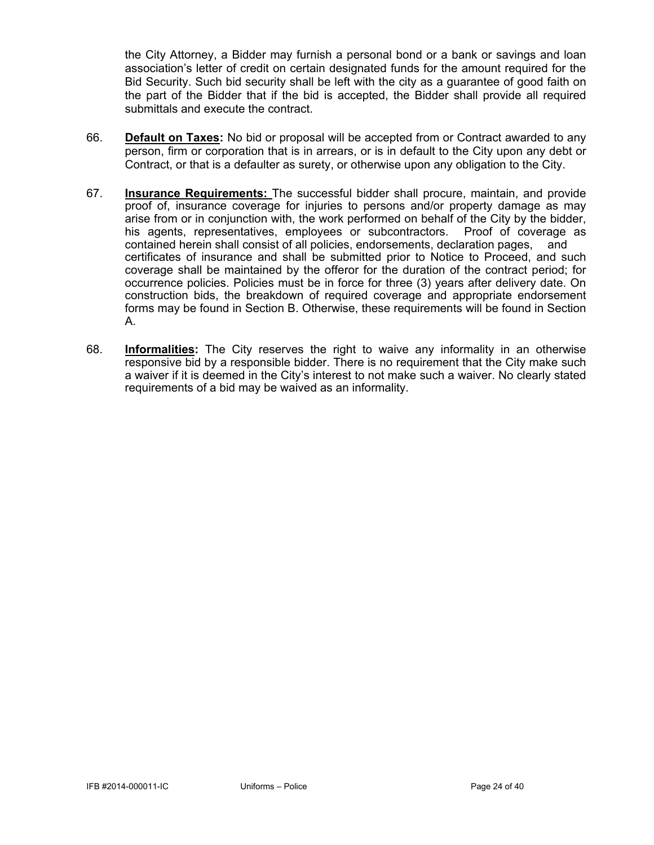the City Attorney, a Bidder may furnish a personal bond or a bank or savings and loan association's letter of credit on certain designated funds for the amount required for the Bid Security. Such bid security shall be left with the city as a guarantee of good faith on the part of the Bidder that if the bid is accepted, the Bidder shall provide all required submittals and execute the contract.

- 66. **Default on Taxes:** No bid or proposal will be accepted from or Contract awarded to any person, firm or corporation that is in arrears, or is in default to the City upon any debt or Contract, or that is a defaulter as surety, or otherwise upon any obligation to the City.
- 67. **Insurance Requirements:** The successful bidder shall procure, maintain, and provide proof of, insurance coverage for injuries to persons and/or property damage as may arise from or in conjunction with, the work performed on behalf of the City by the bidder, his agents, representatives, employees or subcontractors. Proof of coverage as contained herein shall consist of all policies, endorsements, declaration pages, and certificates of insurance and shall be submitted prior to Notice to Proceed, and such coverage shall be maintained by the offeror for the duration of the contract period; for occurrence policies. Policies must be in force for three (3) years after delivery date. On construction bids, the breakdown of required coverage and appropriate endorsement forms may be found in Section B. Otherwise, these requirements will be found in Section A.
- 68. **Informalities:** The City reserves the right to waive any informality in an otherwise responsive bid by a responsible bidder. There is no requirement that the City make such a waiver if it is deemed in the City's interest to not make such a waiver. No clearly stated requirements of a bid may be waived as an informality.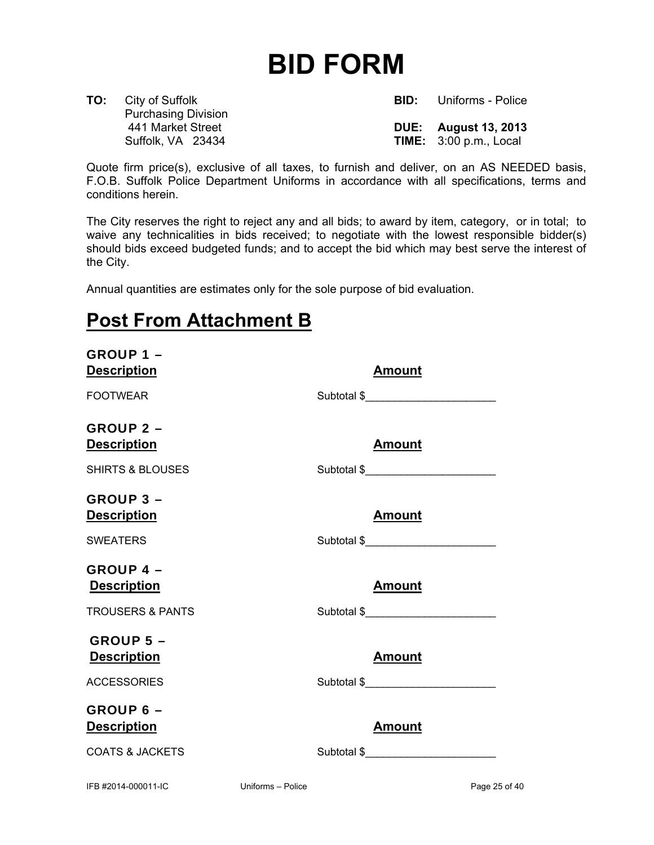## **BID FORM**

**TO:** City of Suffolk **BID:** Uniforms - Police Purchasing Division

 441 Market Street **DUE: August 13, 2013** Suffolk, VA 23434 **TIME:** 3:00 p.m., Local

Quote firm price(s), exclusive of all taxes, to furnish and deliver, on an AS NEEDED basis, F.O.B. Suffolk Police Department Uniforms in accordance with all specifications, terms and conditions herein.

The City reserves the right to reject any and all bids; to award by item, category, or in total; to waive any technicalities in bids received; to negotiate with the lowest responsible bidder(s) should bids exceed budgeted funds; and to accept the bid which may best serve the interest of the City.

Annual quantities are estimates only for the sole purpose of bid evaluation.

## **Post From Attachment B**

| <b>GROUP 1-</b><br><b>Description</b> |                   | <b>Amount</b> |               |
|---------------------------------------|-------------------|---------------|---------------|
| <b>FOOTWEAR</b>                       |                   | Subtotal \$   |               |
| <b>GROUP 2 -</b>                      |                   |               |               |
| <b>Description</b>                    |                   | <b>Amount</b> |               |
| <b>SHIRTS &amp; BLOUSES</b>           |                   | Subtotal \$   |               |
| <b>GROUP 3 -</b>                      |                   |               |               |
| <b>Description</b>                    |                   | <b>Amount</b> |               |
| <b>SWEATERS</b>                       |                   | Subtotal \$   |               |
| <b>GROUP 4 -</b>                      |                   |               |               |
| <b>Description</b>                    |                   | <b>Amount</b> |               |
| <b>TROUSERS &amp; PANTS</b>           |                   | Subtotal \$   |               |
| <b>GROUP 5 -</b>                      |                   |               |               |
| <b>Description</b>                    |                   | <b>Amount</b> |               |
| <b>ACCESSORIES</b>                    |                   | Subtotal \$   |               |
| GROUP 6 -                             |                   |               |               |
| <b>Description</b>                    |                   | <b>Amount</b> |               |
| <b>COATS &amp; JACKETS</b>            |                   |               |               |
| IFB #2014-000011-IC                   | Uniforms - Police |               | Page 25 of 40 |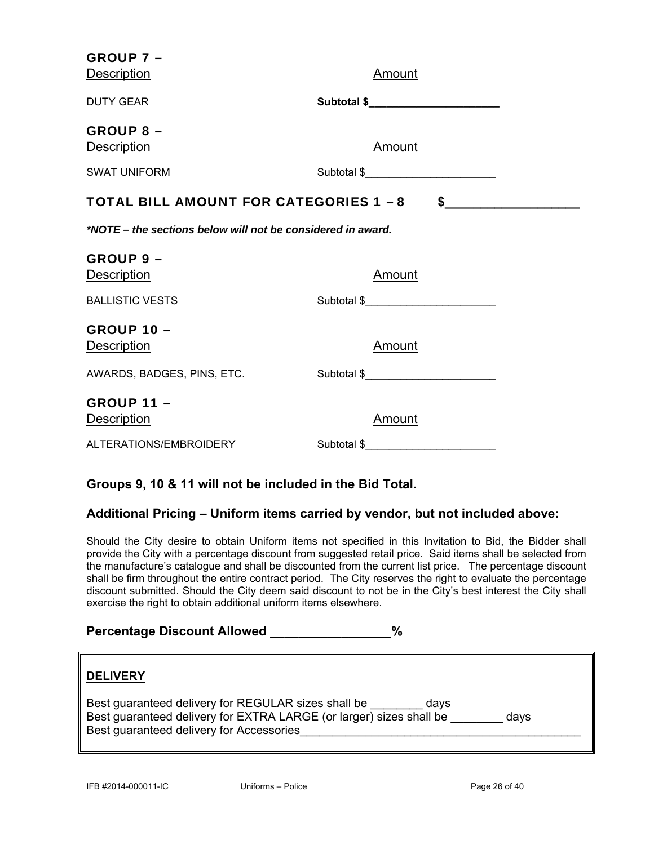| <b>GROUP 7 -</b><br><b>Description</b>                      | Amount                              |
|-------------------------------------------------------------|-------------------------------------|
| <b>DUTY GEAR</b>                                            | Subtotal \$________________________ |
| <b>GROUP 8 -</b><br><b>Description</b>                      | <u>Amount</u>                       |
| <b>SWAT UNIFORM</b>                                         |                                     |
| <b>TOTAL BILL AMOUNT FOR CATEGORIES 1 - 8</b>               | $\frac{1}{2}$                       |
| *NOTE – the sections below will not be considered in award. |                                     |
| GROUP 9 -<br><b>Description</b>                             | <u>Amount</u>                       |
| <b>BALLISTIC VESTS</b>                                      | Subtotal \$                         |
| <b>GROUP 10 -</b><br><b>Description</b>                     | <u>Amount</u>                       |
| AWARDS, BADGES, PINS, ETC.                                  | Subtotal \$                         |
| <b>GROUP 11 -</b><br><b>Description</b>                     | <b>Amount</b>                       |
| ALTERATIONS/EMBROIDERY                                      | Subtotal \$                         |

### **Groups 9, 10 & 11 will not be included in the Bid Total.**

### **Additional Pricing – Uniform items carried by vendor, but not included above:**

Should the City desire to obtain Uniform items not specified in this Invitation to Bid, the Bidder shall provide the City with a percentage discount from suggested retail price. Said items shall be selected from the manufacture's catalogue and shall be discounted from the current list price. The percentage discount shall be firm throughout the entire contract period. The City reserves the right to evaluate the percentage discount submitted. Should the City deem said discount to not be in the City's best interest the City shall exercise the right to obtain additional uniform items elsewhere.

### Percentage Discount Allowed \_\_\_\_\_\_\_\_\_\_\_\_\_\_\_\_%

| <b>DELIVERY</b>                                                                                                                                                                        |  |
|----------------------------------------------------------------------------------------------------------------------------------------------------------------------------------------|--|
| Best guaranteed delivery for REGULAR sizes shall be<br>days<br>Best guaranteed delivery for EXTRA LARGE (or larger) sizes shall be<br>days<br>Best guaranteed delivery for Accessories |  |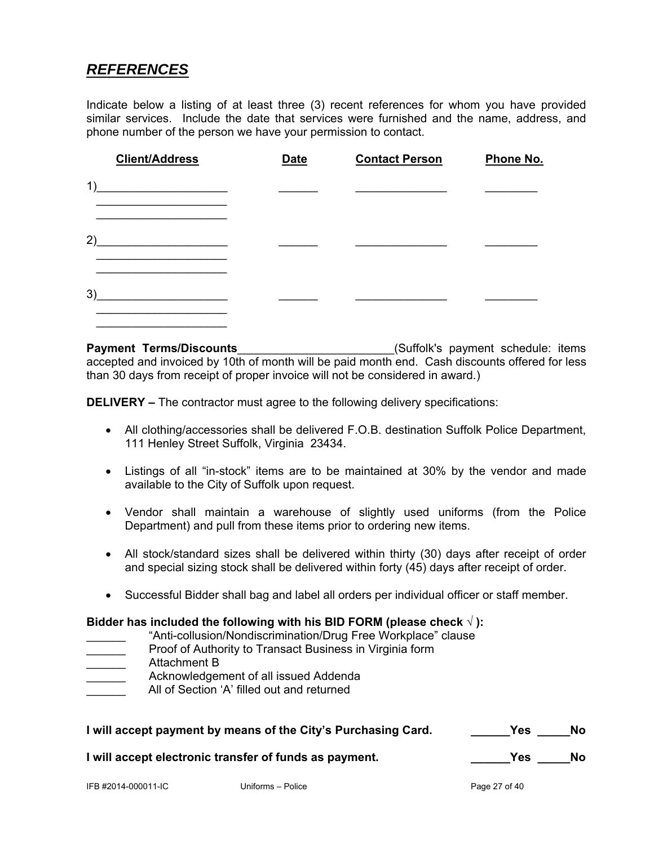### *REFERENCES*

Indicate below a listing of at least three (3) recent references for whom you have provided similar services. Include the date that services were furnished and the name, address, and phone number of the person we have your permission to contact.

| <b>Client/Address</b>                              | <b>Date</b> | <b>Contact Person</b> | Phone No. |
|----------------------------------------------------|-------------|-----------------------|-----------|
| 1)<br>the control of the control of the control of |             |                       |           |
| 2)                                                 |             |                       |           |
| 3)                                                 |             |                       |           |

**Payment Terms/Discounts**<br> **Payment Terms/Discounts** accepted and invoiced by 10th of month will be paid month end. Cash discounts offered for less than 30 days from receipt of proper invoice will not be considered in award.)

**DELIVERY –** The contractor must agree to the following delivery specifications:

- All clothing/accessories shall be delivered F.O.B. destination Suffolk Police Department, 111 Henley Street Suffolk, Virginia 23434.
- Listings of all "in-stock" items are to be maintained at 30% by the vendor and made available to the City of Suffolk upon request.
- Vendor shall maintain a warehouse of slightly used uniforms (from the Police Department) and pull from these items prior to ordering new items.
- All stock/standard sizes shall be delivered within thirty (30) days after receipt of order and special sizing stock shall be delivered within forty (45) days after receipt of order.
- Successful Bidder shall bag and label all orders per individual officer or staff member.

### **Bidder has included the following with his BID FORM (please check √ ):**

- "Anti-collusion/Nondiscrimination/Drug Free Workplace" clause
- Proof of Authority to Transact Business in Virginia form
- \_\_\_\_\_\_ Attachment B
- Acknowledgement of all issued Addenda
- All of Section 'A' filled out and returned

| I will accept payment by means of the City's Purchasing Card. | <b>Yes</b> | <b>No</b> |
|---------------------------------------------------------------|------------|-----------|
| I will accept electronic transfer of funds as payment.        | <b>Yes</b> | No.       |

IFB #2014-000011-IC Uniforms – Police Page 27 of 40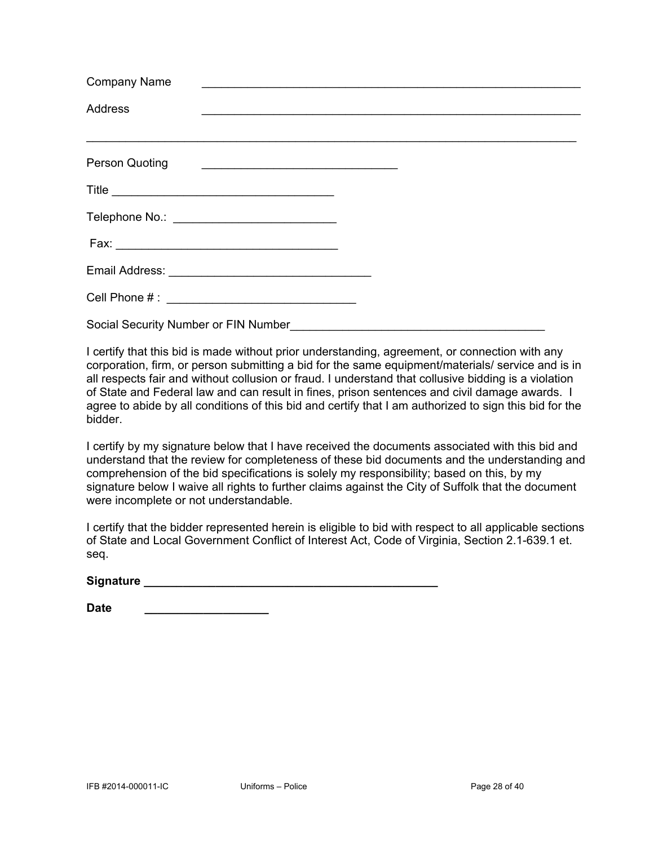| <b>Company Name</b><br><u> 2000 - Paris Alexandri, prima de la provincia de la provincia de la provincia de la provincia de la provincia</u> |  |
|----------------------------------------------------------------------------------------------------------------------------------------------|--|
| <b>Address</b>                                                                                                                               |  |
| Person Quoting                                                                                                                               |  |
|                                                                                                                                              |  |
|                                                                                                                                              |  |
|                                                                                                                                              |  |
|                                                                                                                                              |  |
|                                                                                                                                              |  |
| Social Security Number or FIN Number                                                                                                         |  |

I certify that this bid is made without prior understanding, agreement, or connection with any corporation, firm, or person submitting a bid for the same equipment/materials/ service and is in all respects fair and without collusion or fraud. I understand that collusive bidding is a violation of State and Federal law and can result in fines, prison sentences and civil damage awards. I agree to abide by all conditions of this bid and certify that I am authorized to sign this bid for the bidder.

I certify by my signature below that I have received the documents associated with this bid and understand that the review for completeness of these bid documents and the understanding and comprehension of the bid specifications is solely my responsibility; based on this, by my signature below I waive all rights to further claims against the City of Suffolk that the document were incomplete or not understandable.

I certify that the bidder represented herein is eligible to bid with respect to all applicable sections of State and Local Government Conflict of Interest Act, Code of Virginia, Section 2.1-639.1 et. seq.

Signature **Executive Signature Signature Executive Construction** 

**Date \_\_\_\_\_\_\_\_\_\_\_\_\_\_\_\_\_\_\_**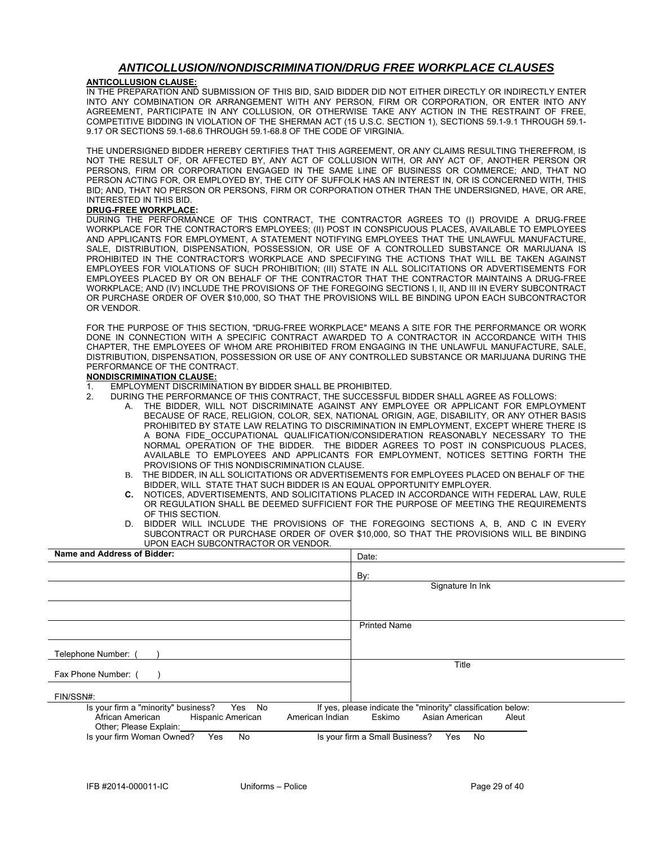### *ANTICOLLUSION/NONDISCRIMINATION/DRUG FREE WORKPLACE CLAUSES*

#### **ANTICOLLUSION CLAUSE:**

IN THE PREPARATION AND SUBMISSION OF THIS BID, SAID BIDDER DID NOT EITHER DIRECTLY OR INDIRECTLY ENTER INTO ANY COMBINATION OR ARRANGEMENT WITH ANY PERSON, FIRM OR CORPORATION, OR ENTER INTO ANY AGREEMENT, PARTICIPATE IN ANY COLLUSION, OR OTHERWISE TAKE ANY ACTION IN THE RESTRAINT OF FREE, COMPETITIVE BIDDING IN VIOLATION OF THE SHERMAN ACT (15 U.S.C. SECTION 1), SECTIONS 59.1-9.1 THROUGH 59.1- 9.17 OR SECTIONS 59.1-68.6 THROUGH 59.1-68.8 OF THE CODE OF VIRGINIA.

THE UNDERSIGNED BIDDER HEREBY CERTIFIES THAT THIS AGREEMENT, OR ANY CLAIMS RESULTING THEREFROM, IS NOT THE RESULT OF, OR AFFECTED BY, ANY ACT OF COLLUSION WITH, OR ANY ACT OF, ANOTHER PERSON OR PERSONS, FIRM OR CORPORATION ENGAGED IN THE SAME LINE OF BUSINESS OR COMMERCE; AND, THAT NO PERSON ACTING FOR, OR EMPLOYED BY, THE CITY OF SUFFOLK HAS AN INTEREST IN, OR IS CONCERNED WITH, THIS BID; AND, THAT NO PERSON OR PERSONS, FIRM OR CORPORATION OTHER THAN THE UNDERSIGNED, HAVE, OR ARE, INTERESTED IN THIS BID.

#### **DRUG-FREE WORKPLACE:**

DURING THE PERFORMANCE OF THIS CONTRACT, THE CONTRACTOR AGREES TO (I) PROVIDE A DRUG-FREE WORKPLACE FOR THE CONTRACTOR'S EMPLOYEES; (II) POST IN CONSPICUOUS PLACES, AVAILABLE TO EMPLOYEES AND APPLICANTS FOR EMPLOYMENT, A STATEMENT NOTIFYING EMPLOYEES THAT THE UNLAWFUL MANUFACTURE, SALE, DISTRIBUTION, DISPENSATION, POSSESSION, OR USE OF A CONTROLLED SUBSTANCE OR MARIJUANA IS PROHIBITED IN THE CONTRACTOR'S WORKPLACE AND SPECIFYING THE ACTIONS THAT WILL BE TAKEN AGAINST EMPLOYEES FOR VIOLATIONS OF SUCH PROHIBITION; (III) STATE IN ALL SOLICITATIONS OR ADVERTISEMENTS FOR EMPLOYEES PLACED BY OR ON BEHALF OF THE CONTRACTOR THAT THE CONTRACTOR MAINTAINS A DRUG-FREE WORKPLACE; AND (IV) INCLUDE THE PROVISIONS OF THE FOREGOING SECTIONS I, II, AND III IN EVERY SUBCONTRACT OR PURCHASE ORDER OF OVER \$10,000, SO THAT THE PROVISIONS WILL BE BINDING UPON EACH SUBCONTRACTOR OR VENDOR.

FOR THE PURPOSE OF THIS SECTION, "DRUG-FREE WORKPLACE" MEANS A SITE FOR THE PERFORMANCE OR WORK DONE IN CONNECTION WITH A SPECIFIC CONTRACT AWARDED TO A CONTRACTOR IN ACCORDANCE WITH THIS CHAPTER, THE EMPLOYEES OF WHOM ARE PROHIBITED FROM ENGAGING IN THE UNLAWFUL MANUFACTURE, SALE, DISTRIBUTION, DISPENSATION, POSSESSION OR USE OF ANY CONTROLLED SUBSTANCE OR MARIJUANA DURING THE PERFORMANCE OF THE CONTRACT.

#### **NONDISCRIMINATION CLAUSE:**

- 1. EMPLOYMENT DISCRIMINATION BY BIDDER SHALL BE PROHIBITED.
- 2. DURING THE PERFORMANCE OF THIS CONTRACT, THE SUCCESSFUL BIDDER SHALL AGREE AS FOLLOWS:<br>A. THE BIDDER, WILL NOT DISCRIMINATE AGAINST ANY EMPLOYEE OR APPLICANT FOR EMPLOY
	- THE BIDDER, WILL NOT DISCRIMINATE AGAINST ANY EMPLOYEE OR APPLICANT FOR EMPLOYMENT BECAUSE OF RACE, RELIGION, COLOR, SEX, NATIONAL ORIGIN, AGE, DISABILITY, OR ANY OTHER BASIS PROHIBITED BY STATE LAW RELATING TO DISCRIMINATION IN EMPLOYMENT, EXCEPT WHERE THERE IS A BONA FIDE OCCUPATIONAL QUALIFICATION/CONSIDERATION REASONABLY NECESSARY TO THE NORMAL OPERATION OF THE BIDDER. THE BIDDER AGREES TO POST IN CONSPICUOUS PLACES, AVAILABLE TO EMPLOYEES AND APPLICANTS FOR EMPLOYMENT, NOTICES SETTING FORTH THE PROVISIONS OF THIS NONDISCRIMINATION CLAUSE.
	- B. THE BIDDER, IN ALL SOLICITATIONS OR ADVERTISEMENTS FOR EMPLOYEES PLACED ON BEHALF OF THE BIDDER, WILL STATE THAT SUCH BIDDER IS AN EQUAL OPPORTUNITY EMPLOYER.
	- **C.** NOTICES, ADVERTISEMENTS, AND SOLICITATIONS PLACED IN ACCORDANCE WITH FEDERAL LAW, RULE OR REGULATION SHALL BE DEEMED SUFFICIENT FOR THE PURPOSE OF MEETING THE REQUIREMENTS OF THIS SECTION.
	- D. BIDDER WILL INCLUDE THE PROVISIONS OF THE FOREGOING SECTIONS A, B, AND C IN EVERY SUBCONTRACT OR PURCHASE ORDER OF OVER \$10,000, SO THAT THE PROVISIONS WILL BE BINDING UPON EACH SUBCONTRACTOR OR VENDOR.

| Name and Address of Bidder:                                                                                                         | Date:                                                                                             |
|-------------------------------------------------------------------------------------------------------------------------------------|---------------------------------------------------------------------------------------------------|
|                                                                                                                                     | By:                                                                                               |
|                                                                                                                                     | Signature In Ink                                                                                  |
|                                                                                                                                     |                                                                                                   |
|                                                                                                                                     | <b>Printed Name</b>                                                                               |
|                                                                                                                                     |                                                                                                   |
| Telephone Number:                                                                                                                   |                                                                                                   |
| Fax Phone Number: (                                                                                                                 | Title                                                                                             |
| FIN/SSN#:                                                                                                                           |                                                                                                   |
| Yes No<br>Is your firm a "minority" business?<br>African American<br>Hispanic American<br>American Indian<br>Other; Please Explain: | If yes, please indicate the "minority" classification below:<br>Asian American<br>Eskimo<br>Aleut |
| Is your firm Woman Owned?<br>Yes<br>No                                                                                              | Is your firm a Small Business?<br>No<br>Yes                                                       |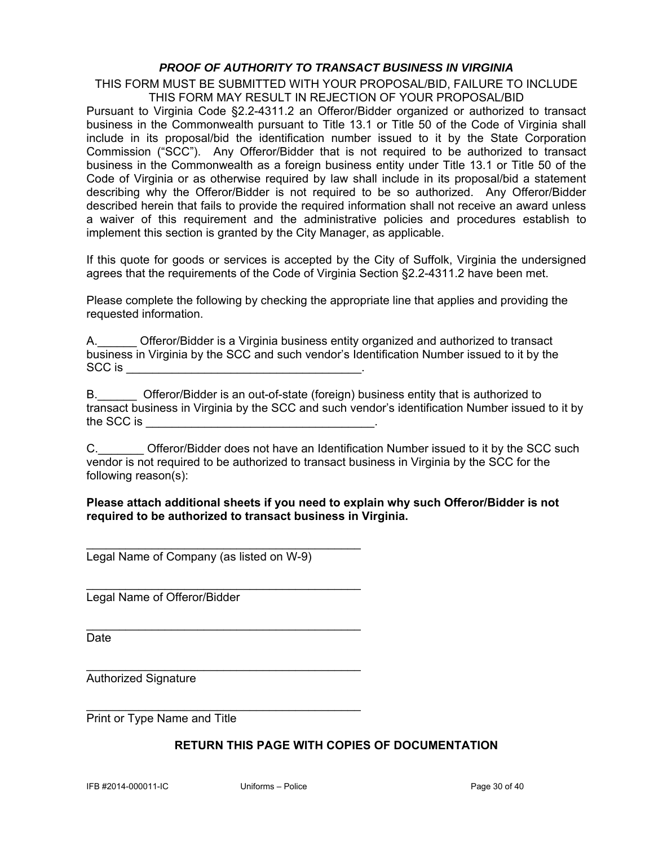### *PROOF OF AUTHORITY TO TRANSACT BUSINESS IN VIRGINIA*

THIS FORM MUST BE SUBMITTED WITH YOUR PROPOSAL/BID, FAILURE TO INCLUDE THIS FORM MAY RESULT IN REJECTION OF YOUR PROPOSAL/BID

Pursuant to Virginia Code §2.2-4311.2 an Offeror/Bidder organized or authorized to transact business in the Commonwealth pursuant to Title 13.1 or Title 50 of the Code of Virginia shall include in its proposal/bid the identification number issued to it by the State Corporation Commission ("SCC"). Any Offeror/Bidder that is not required to be authorized to transact business in the Commonwealth as a foreign business entity under Title 13.1 or Title 50 of the Code of Virginia or as otherwise required by law shall include in its proposal/bid a statement describing why the Offeror/Bidder is not required to be so authorized. Any Offeror/Bidder described herein that fails to provide the required information shall not receive an award unless a waiver of this requirement and the administrative policies and procedures establish to implement this section is granted by the City Manager, as applicable.

If this quote for goods or services is accepted by the City of Suffolk, Virginia the undersigned agrees that the requirements of the Code of Virginia Section §2.2-4311.2 have been met.

Please complete the following by checking the appropriate line that applies and providing the requested information.

A.\_\_\_\_\_\_ Offeror/Bidder is a Virginia business entity organized and authorized to transact business in Virginia by the SCC and such vendor's Identification Number issued to it by the  $SCC$  is  $\qquad \qquad$ 

B.\_\_\_\_\_\_ Offeror/Bidder is an out-of-state (foreign) business entity that is authorized to transact business in Virginia by the SCC and such vendor's identification Number issued to it by the SCC is  $\blacksquare$ 

C. C. Chiefferor/Bidder does not have an Identification Number issued to it by the SCC such vendor is not required to be authorized to transact business in Virginia by the SCC for the following reason(s):

### **Please attach additional sheets if you need to explain why such Offeror/Bidder is not required to be authorized to transact business in Virginia.**

Legal Name of Company (as listed on W-9)

\_\_\_\_\_\_\_\_\_\_\_\_\_\_\_\_\_\_\_\_\_\_\_\_\_\_\_\_\_\_\_\_\_\_\_\_\_\_\_\_\_\_

\_\_\_\_\_\_\_\_\_\_\_\_\_\_\_\_\_\_\_\_\_\_\_\_\_\_\_\_\_\_\_\_\_\_\_\_\_\_\_\_\_\_

\_\_\_\_\_\_\_\_\_\_\_\_\_\_\_\_\_\_\_\_\_\_\_\_\_\_\_\_\_\_\_\_\_\_\_\_\_\_\_\_\_\_

\_\_\_\_\_\_\_\_\_\_\_\_\_\_\_\_\_\_\_\_\_\_\_\_\_\_\_\_\_\_\_\_\_\_\_\_\_\_\_\_\_\_

\_\_\_\_\_\_\_\_\_\_\_\_\_\_\_\_\_\_\_\_\_\_\_\_\_\_\_\_\_\_\_\_\_\_\_\_\_\_\_\_\_\_

Legal Name of Offeror/Bidder

Date

Authorized Signature

Print or Type Name and Title

### **RETURN THIS PAGE WITH COPIES OF DOCUMENTATION**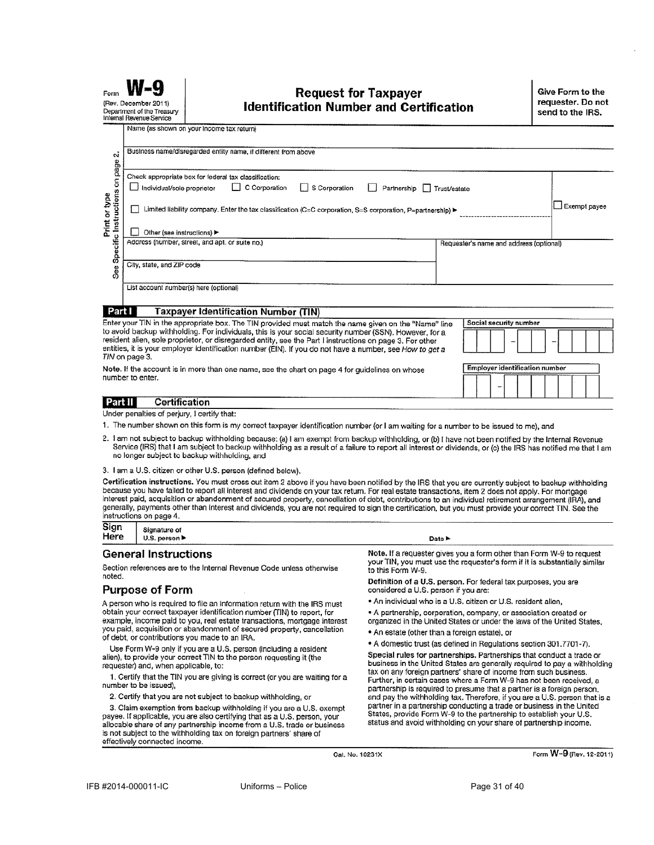| Form                                                                                                                                                                                                                                                                                                                                                                                                                                                                                                                                                                                                                                                                                                        | (Rev. December 2011)<br>Department of the Treasury<br>Internal Revenue Service | <b>Request for Taxpayer</b><br><b>Identification Number and Certification</b>                                                                                                                                                         |                                         | Give Form to the<br>requester. Do not<br>send to the IRS. |
|-------------------------------------------------------------------------------------------------------------------------------------------------------------------------------------------------------------------------------------------------------------------------------------------------------------------------------------------------------------------------------------------------------------------------------------------------------------------------------------------------------------------------------------------------------------------------------------------------------------------------------------------------------------------------------------------------------------|--------------------------------------------------------------------------------|---------------------------------------------------------------------------------------------------------------------------------------------------------------------------------------------------------------------------------------|-----------------------------------------|-----------------------------------------------------------|
| ςi                                                                                                                                                                                                                                                                                                                                                                                                                                                                                                                                                                                                                                                                                                          |                                                                                | Name (as shown on your income tax return)<br>Business name/disregarded entity name, if different from above                                                                                                                           |                                         |                                                           |
| See Specific Instructions on page<br>Print or type                                                                                                                                                                                                                                                                                                                                                                                                                                                                                                                                                                                                                                                          | Individual/sole proprietor<br>Other (see instructions) ▶                       | Check appropriate box for federal tax classification:<br>C Corporation<br>S Corporation<br>Partnership<br>$\mathsf{L}$<br>Limited liability company. Enter the tax classification (C=C corporation, S=S corporation, P=partnership) ► | Trust/estate                            | Exempt payee                                              |
|                                                                                                                                                                                                                                                                                                                                                                                                                                                                                                                                                                                                                                                                                                             | City, state, and ZIP code                                                      | Address (number, street, and apt. or suite no.)                                                                                                                                                                                       | Requester's name and address (optional) |                                                           |
|                                                                                                                                                                                                                                                                                                                                                                                                                                                                                                                                                                                                                                                                                                             | List account number(s) here (optional)                                         |                                                                                                                                                                                                                                       |                                         |                                                           |
| <b>Taxpayer Identification Number (TIN)</b><br>Part I<br>Enter your TIN in the appropriate box. The TIN provided must match the name given on the "Name" line<br>Social security number<br>to avoid backup withholding. For individuals, this is your social security number (SSN). However, for a<br>resident alien, sole proprietor, or disregarded entity, see the Part I instructions on page 3. For other<br>entities, it is your employer identification number (EIN). If you do not have a number, see How to get a<br>TIN on page 3.<br><b>Employer identification number</b><br>Note. If the account is in more than one name, see the chart on page 4 for guidelines on whose<br>number to enter. |                                                                                |                                                                                                                                                                                                                                       |                                         |                                                           |

#### Part II **Certification**

Under penalties of perjury, I certify that:

- 1. The number shown on this form is my correct taxpayer identification number (or I am waiting for a number to be issued to me), and
- 2. I am not subject to backup withholding because: (a) I am exempt from backup withholding, or (b) I have not been notified by the Internal Revenue Service (IRS) that I am subject to backup withholding as a result of a failure to report all interest or dividends, or (c) the IRS has notified me that I am no longer subject to backup withholding, and
- 3. I am a U.S. citizen or other U.S. person (defined below),

Certification instructions. You must cross out item 2 above if you have been notified by the IRS that you are currently subject to backup withholding because you have failed to report all interest and dividends on your tax return. For real estate transactions, item 2 does not apply. For mortgage interest paid, acquisition or abandonment of secured property, cancellation of debt, contributions to an individual retirement arrangement (IRA), and generally, payments other than interest and dividends, you are not required to sign the certification, but you must provide your correct TIN. See the instructions on page 4.

| Sign | Signature of                      |
|------|-----------------------------------|
| Here | U.S. person $\blacktriangleright$ |
|      |                                   |

#### **General Instructions**

Section references are to the Internal Revenue Code unless otherwise noted.

### **Purpose of Form**

A person who is required to file an information return with the IRS must obtain your correct taxpayer identification number (TIN) to report, for example, income paid to you, real estate transactions, mortgage interest you paid, acquisition or abandonment of secured property, cancellation of debt, or contributions you made to an IRA.

Use Form W-9 only if you are a U.S. person (including a resident alien), to provide your correct TIN to the person requesting it (the requester) and, when applicable, to:

1. Certify that the TIN you are giving is correct (or you are waiting for a number to be issued).

2. Certify that you are not subject to backup withholding, or

3. Claim exemption from backup withholding if you are a U.S. exempt payee. If applicable, you are also certifying that as a U.S. person, your allocable share of any partnership income from a U.S. trade or business is not subject to the withholding tax on foreign partners' share of effectively connected income.

Date >

Note. If a requester gives you a form other than Form W-9 to request<br>your TIN, you must use the requester's form if it is substantially similar to this Form W-9.

Definition of a U.S. person. For federal tax purposes, you are considered a U.S. person if you are:

- . An individual who is a U.S. citizen or U.S. resident alien,
- · A partnership, corporation, company, or association created or
- organized in the United States or under the laws of the United States,
- . An estate (other than a foreign estate), or
- A domestic trust (as defined in Regulations section 301.7701-7).

Special rules for partnerships. Partnerships that conduct a trade or business in the United States are generally required to pay a withholding tax on any foreign partners' share of income from such business. Further, in certain cases where a Form W-9 has not been received, a partnership is required to presume that a partner is a foreign person, and pay the withholding tax. Therefore, if you are a U.S. person that is a partner in a partnership conducting a trade or business in the United<br>States, provide Form W-9 to the partnership to establish your U.S. status and avoid withholding on your share of partnership income.

Cat. No. 10231X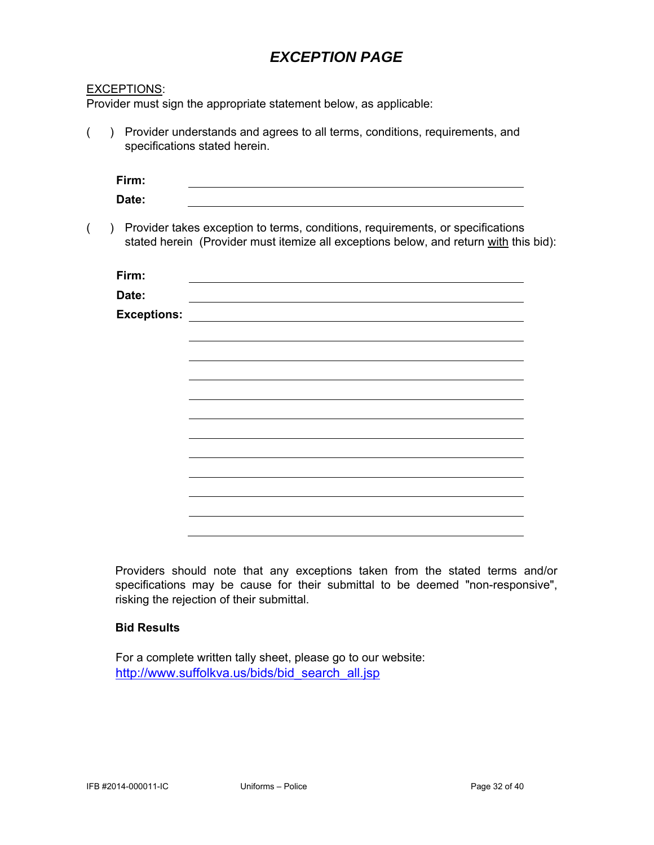### *EXCEPTION PAGE*

| <u>EXCEPTIONS:</u> |                                                                                                                                                                         |  |
|--------------------|-------------------------------------------------------------------------------------------------------------------------------------------------------------------------|--|
|                    | Provider must sign the appropriate statement below, as applicable:                                                                                                      |  |
| (<br>$\mathcal{L}$ | Provider understands and agrees to all terms, conditions, requirements, and<br>specifications stated herein.                                                            |  |
| Firm:              |                                                                                                                                                                         |  |
| Date:              |                                                                                                                                                                         |  |
| (<br>$\mathcal{L}$ | Provider takes exception to terms, conditions, requirements, or specifications<br>stated herein (Provider must itemize all exceptions below, and return with this bid): |  |
| Firm:              |                                                                                                                                                                         |  |
| Date:              |                                                                                                                                                                         |  |
| <b>Exceptions:</b> |                                                                                                                                                                         |  |
|                    |                                                                                                                                                                         |  |
|                    |                                                                                                                                                                         |  |
|                    |                                                                                                                                                                         |  |
|                    |                                                                                                                                                                         |  |
|                    |                                                                                                                                                                         |  |
|                    |                                                                                                                                                                         |  |
|                    |                                                                                                                                                                         |  |
|                    |                                                                                                                                                                         |  |
|                    |                                                                                                                                                                         |  |
|                    |                                                                                                                                                                         |  |

Providers should note that any exceptions taken from the stated terms and/or specifications may be cause for their submittal to be deemed "non-responsive", risking the rejection of their submittal.

### **Bid Results**

For a complete written tally sheet, please go to our website: http://www.suffolkva.us/bids/bid\_search\_all.jsp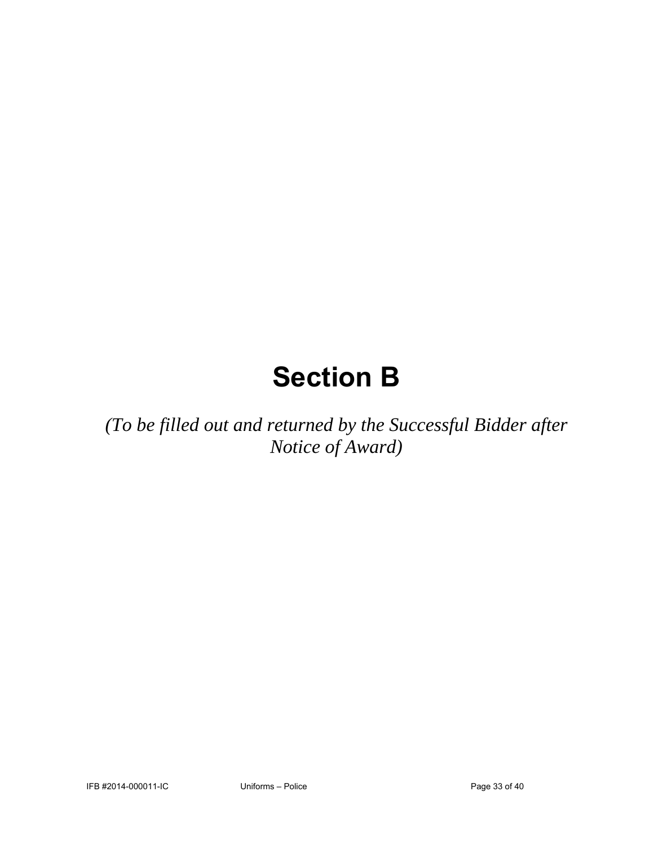# **Section B**

*(To be filled out and returned by the Successful Bidder after Notice of Award)*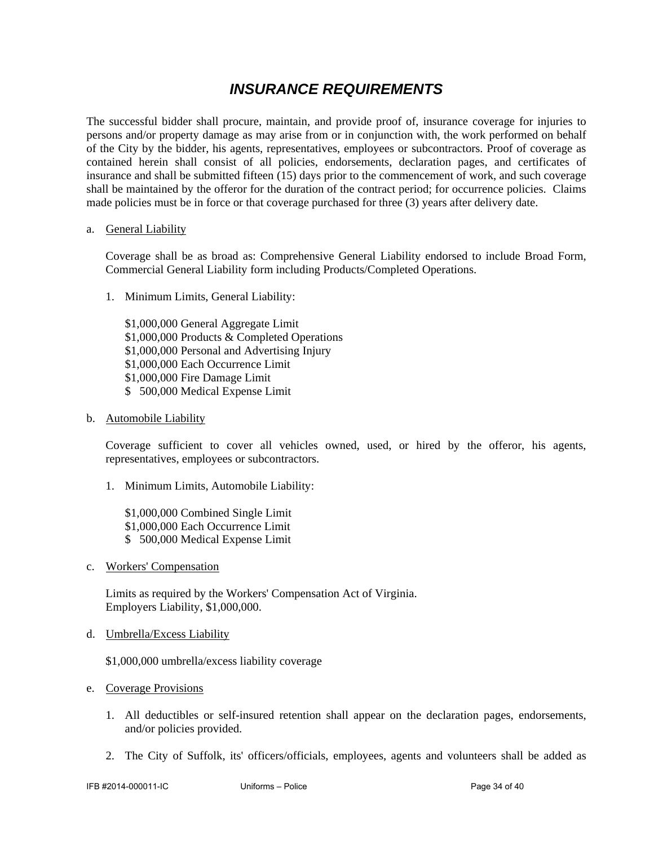### *INSURANCE REQUIREMENTS*

The successful bidder shall procure, maintain, and provide proof of, insurance coverage for injuries to persons and/or property damage as may arise from or in conjunction with, the work performed on behalf of the City by the bidder, his agents, representatives, employees or subcontractors. Proof of coverage as contained herein shall consist of all policies, endorsements, declaration pages, and certificates of insurance and shall be submitted fifteen (15) days prior to the commencement of work, and such coverage shall be maintained by the offeror for the duration of the contract period; for occurrence policies. Claims made policies must be in force or that coverage purchased for three (3) years after delivery date.

#### a. General Liability

Coverage shall be as broad as: Comprehensive General Liability endorsed to include Broad Form, Commercial General Liability form including Products/Completed Operations.

1. Minimum Limits, General Liability:

 \$1,000,000 General Aggregate Limit \$1,000,000 Products & Completed Operations \$1,000,000 Personal and Advertising Injury \$1,000,000 Each Occurrence Limit \$1,000,000 Fire Damage Limit \$ 500,000 Medical Expense Limit

b. Automobile Liability

Coverage sufficient to cover all vehicles owned, used, or hired by the offeror, his agents, representatives, employees or subcontractors.

1. Minimum Limits, Automobile Liability:

 \$1,000,000 Combined Single Limit \$1,000,000 Each Occurrence Limit \$ 500,000 Medical Expense Limit

c. Workers' Compensation

Limits as required by the Workers' Compensation Act of Virginia. Employers Liability, \$1,000,000.

d. Umbrella/Excess Liability

\$1,000,000 umbrella/excess liability coverage

- e. Coverage Provisions
	- 1. All deductibles or self-insured retention shall appear on the declaration pages, endorsements, and/or policies provided.
	- 2. The City of Suffolk, its' officers/officials, employees, agents and volunteers shall be added as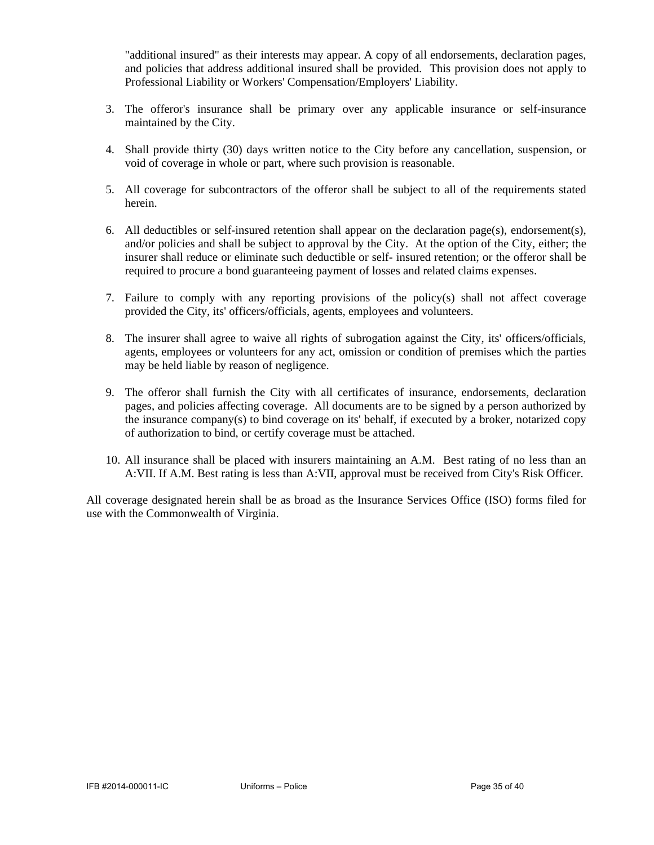"additional insured" as their interests may appear. A copy of all endorsements, declaration pages, and policies that address additional insured shall be provided. This provision does not apply to Professional Liability or Workers' Compensation/Employers' Liability.

- 3. The offeror's insurance shall be primary over any applicable insurance or self-insurance maintained by the City.
- 4. Shall provide thirty (30) days written notice to the City before any cancellation, suspension, or void of coverage in whole or part, where such provision is reasonable.
- 5. All coverage for subcontractors of the offeror shall be subject to all of the requirements stated herein.
- 6. All deductibles or self-insured retention shall appear on the declaration page(s), endorsement(s), and/or policies and shall be subject to approval by the City. At the option of the City, either; the insurer shall reduce or eliminate such deductible or self- insured retention; or the offeror shall be required to procure a bond guaranteeing payment of losses and related claims expenses.
- 7. Failure to comply with any reporting provisions of the policy(s) shall not affect coverage provided the City, its' officers/officials, agents, employees and volunteers.
- 8. The insurer shall agree to waive all rights of subrogation against the City, its' officers/officials, agents, employees or volunteers for any act, omission or condition of premises which the parties may be held liable by reason of negligence.
- 9. The offeror shall furnish the City with all certificates of insurance, endorsements, declaration pages, and policies affecting coverage. All documents are to be signed by a person authorized by the insurance company(s) to bind coverage on its' behalf, if executed by a broker, notarized copy of authorization to bind, or certify coverage must be attached.
- 10. All insurance shall be placed with insurers maintaining an A.M. Best rating of no less than an A:VII. If A.M. Best rating is less than A:VII, approval must be received from City's Risk Officer.

All coverage designated herein shall be as broad as the Insurance Services Office (ISO) forms filed for use with the Commonwealth of Virginia.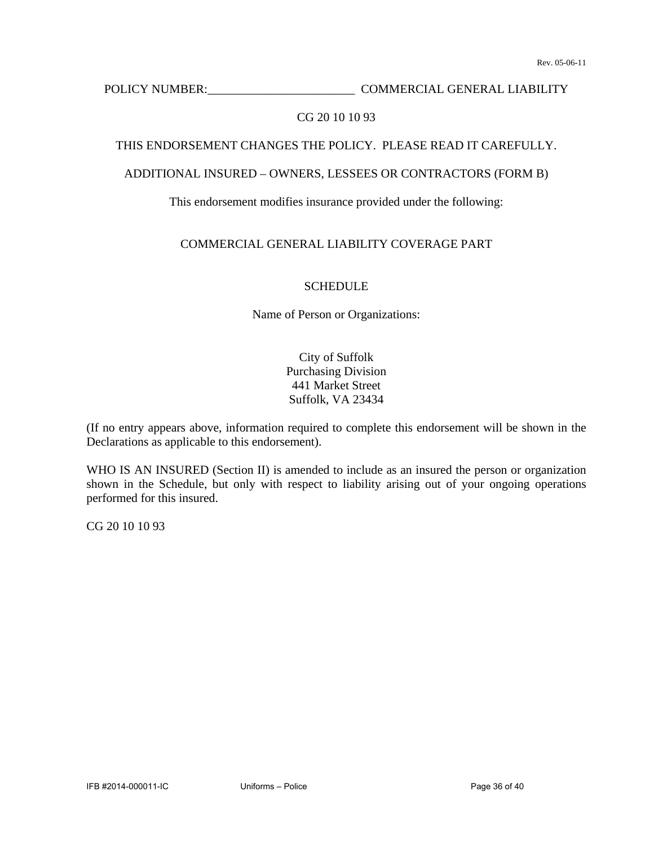POLICY NUMBER: COMMERCIAL GENERAL LIABILITY

### CG 20 10 10 93

### THIS ENDORSEMENT CHANGES THE POLICY. PLEASE READ IT CAREFULLY.

### ADDITIONAL INSURED – OWNERS, LESSEES OR CONTRACTORS (FORM B)

### This endorsement modifies insurance provided under the following:

### COMMERCIAL GENERAL LIABILITY COVERAGE PART

### **SCHEDULE**

Name of Person or Organizations:

City of Suffolk Purchasing Division 441 Market Street Suffolk, VA 23434

(If no entry appears above, information required to complete this endorsement will be shown in the Declarations as applicable to this endorsement).

WHO IS AN INSURED (Section II) is amended to include as an insured the person or organization shown in the Schedule, but only with respect to liability arising out of your ongoing operations performed for this insured.

CG 20 10 10 93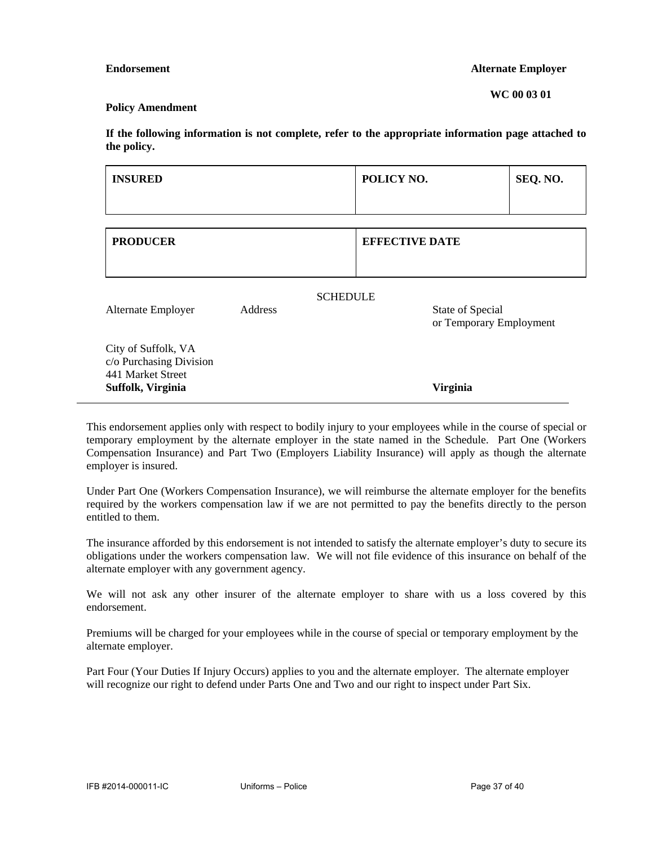#### **Endorsement** Alternate Employer

**WC 00 03 01** 

#### **Policy Amendment**

**If the following information is not complete, refer to the appropriate information page attached to the policy.** 

| <b>INSURED</b>                                                                           |                            | POLICY NO.            |                                             | SEQ. NO. |
|------------------------------------------------------------------------------------------|----------------------------|-----------------------|---------------------------------------------|----------|
|                                                                                          |                            |                       |                                             |          |
| <b>PRODUCER</b>                                                                          |                            | <b>EFFECTIVE DATE</b> |                                             |          |
| Alternate Employer                                                                       | <b>SCHEDULE</b><br>Address |                       | State of Special<br>or Temporary Employment |          |
| City of Suffolk, VA<br>c/o Purchasing Division<br>441 Market Street<br>Suffolk, Virginia |                            |                       | <b>Virginia</b>                             |          |

This endorsement applies only with respect to bodily injury to your employees while in the course of special or temporary employment by the alternate employer in the state named in the Schedule. Part One (Workers Compensation Insurance) and Part Two (Employers Liability Insurance) will apply as though the alternate employer is insured.

Under Part One (Workers Compensation Insurance), we will reimburse the alternate employer for the benefits required by the workers compensation law if we are not permitted to pay the benefits directly to the person entitled to them.

The insurance afforded by this endorsement is not intended to satisfy the alternate employer's duty to secure its obligations under the workers compensation law. We will not file evidence of this insurance on behalf of the alternate employer with any government agency.

We will not ask any other insurer of the alternate employer to share with us a loss covered by this endorsement.

Premiums will be charged for your employees while in the course of special or temporary employment by the alternate employer.

Part Four (Your Duties If Injury Occurs) applies to you and the alternate employer. The alternate employer will recognize our right to defend under Parts One and Two and our right to inspect under Part Six.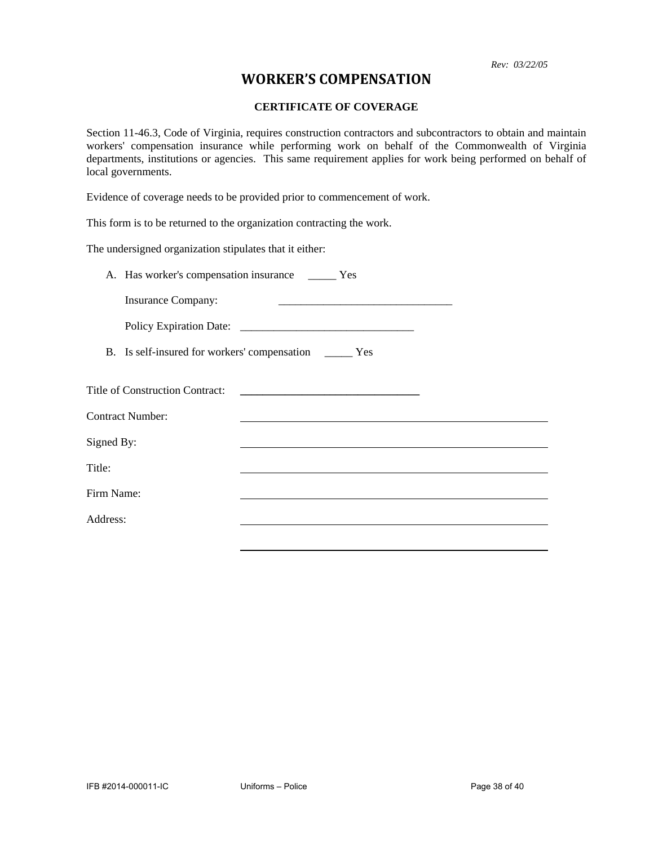*Rev: 03/22/05*

### **WORKER'S COMPENSATION**

### **CERTIFICATE OF COVERAGE**

Section 11-46.3, Code of Virginia, requires construction contractors and subcontractors to obtain and maintain workers' compensation insurance while performing work on behalf of the Commonwealth of Virginia departments, institutions or agencies. This same requirement applies for work being performed on behalf of local governments.

Evidence of coverage needs to be provided prior to commencement of work.

This form is to be returned to the organization contracting the work.

The undersigned organization stipulates that it either:

|            | A. Has worker's compensation insurance _______ Yes |                                                           |  |
|------------|----------------------------------------------------|-----------------------------------------------------------|--|
|            | <b>Insurance Company:</b>                          |                                                           |  |
|            |                                                    |                                                           |  |
|            |                                                    | B. Is self-insured for workers' compensation ________ Yes |  |
|            | <b>Title of Construction Contract:</b>             |                                                           |  |
|            | <b>Contract Number:</b>                            |                                                           |  |
| Signed By: |                                                    |                                                           |  |
| Title:     |                                                    |                                                           |  |
| Firm Name: |                                                    |                                                           |  |
| Address:   |                                                    |                                                           |  |
|            |                                                    |                                                           |  |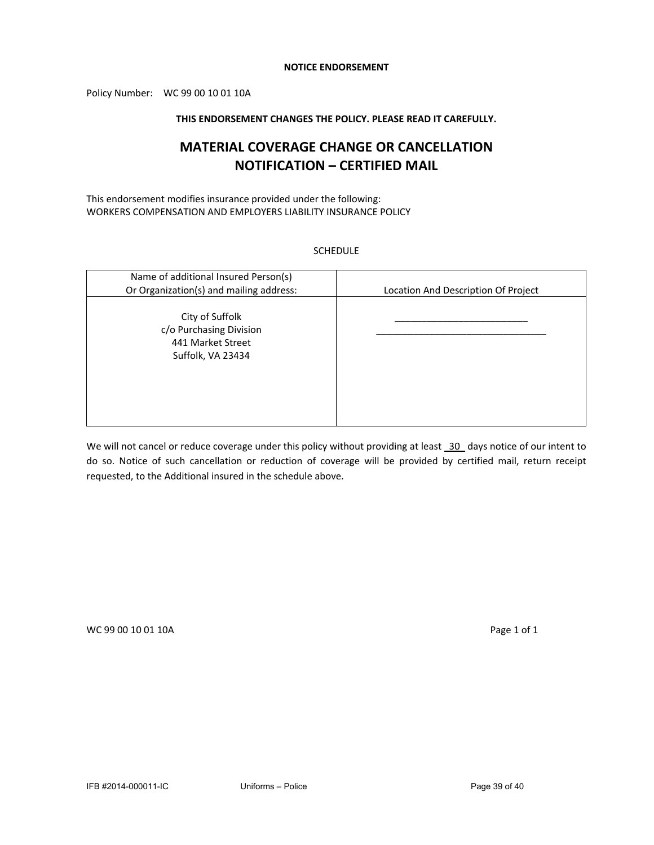#### **NOTICE ENDORSEMENT**

Policy Number: WC 99 00 10 01 10A

#### **THIS ENDORSEMENT CHANGES THE POLICY. PLEASE READ IT CAREFULLY.**

### **MATERIAL COVERAGE CHANGE OR CANCELLATION NOTIFICATION – CERTIFIED MAIL**

This endorsement modifies insurance provided under the following: WORKERS COMPENSATION AND EMPLOYERS LIABILITY INSURANCE POLICY

#### SCHEDULE

| Name of additional Insured Person(s)<br>Or Organization(s) and mailing address:      | Location And Description Of Project |
|--------------------------------------------------------------------------------------|-------------------------------------|
|                                                                                      |                                     |
| City of Suffolk<br>c/o Purchasing Division<br>441 Market Street<br>Suffolk, VA 23434 |                                     |

We will not cancel or reduce coverage under this policy without providing at least 30 days notice of our intent to do so. Notice of such cancellation or reduction of coverage will be provided by certified mail, return receipt requested, to the Additional insured in the schedule above.

WC 99 00 10 01 10A Page 1 of 1